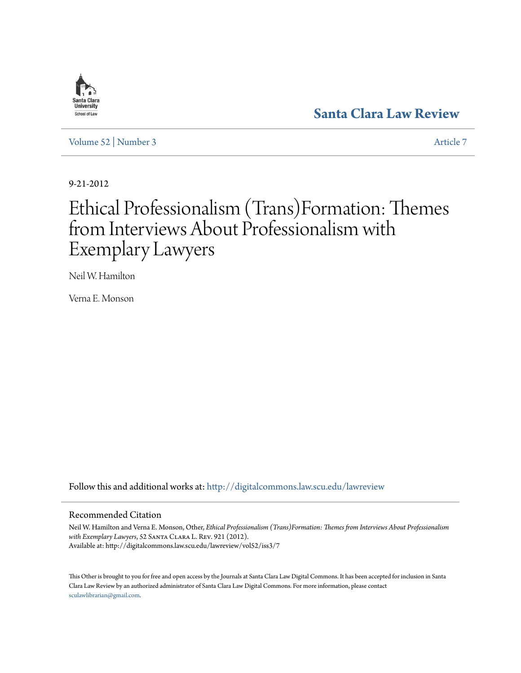# Santa Clara **University** School of Law

**[Santa Clara Law Review](http://digitalcommons.law.scu.edu/lawreview?utm_source=digitalcommons.law.scu.edu%2Flawreview%2Fvol52%2Fiss3%2F7&utm_medium=PDF&utm_campaign=PDFCoverPages)**

[Volume 52](http://digitalcommons.law.scu.edu/lawreview/vol52?utm_source=digitalcommons.law.scu.edu%2Flawreview%2Fvol52%2Fiss3%2F7&utm_medium=PDF&utm_campaign=PDFCoverPages) | [Number 3](http://digitalcommons.law.scu.edu/lawreview/vol52/iss3?utm_source=digitalcommons.law.scu.edu%2Flawreview%2Fvol52%2Fiss3%2F7&utm_medium=PDF&utm_campaign=PDFCoverPages) [Article 7](http://digitalcommons.law.scu.edu/lawreview/vol52/iss3/7?utm_source=digitalcommons.law.scu.edu%2Flawreview%2Fvol52%2Fiss3%2F7&utm_medium=PDF&utm_campaign=PDFCoverPages)

9-21-2012

# Ethical Professionalism (Trans)Formation: Themes from Interviews About Professionalism with Exemplary Lawyers

Neil W. Hamilton

Verna E. Monson

Follow this and additional works at: [http://digitalcommons.law.scu.edu/lawreview](http://digitalcommons.law.scu.edu/lawreview?utm_source=digitalcommons.law.scu.edu%2Flawreview%2Fvol52%2Fiss3%2F7&utm_medium=PDF&utm_campaign=PDFCoverPages)

# Recommended Citation

Neil W. Hamilton and Verna E. Monson, Other, *Ethical Professionalism (Trans)Formation: Themes from Interviews About Professionalism with Exemplary Lawyers*, 52 Santa Clara L. Rev. 921 (2012). Available at: http://digitalcommons.law.scu.edu/lawreview/vol52/iss3/7

This Other is brought to you for free and open access by the Journals at Santa Clara Law Digital Commons. It has been accepted for inclusion in Santa Clara Law Review by an authorized administrator of Santa Clara Law Digital Commons. For more information, please contact [sculawlibrarian@gmail.com](mailto:sculawlibrarian@gmail.com).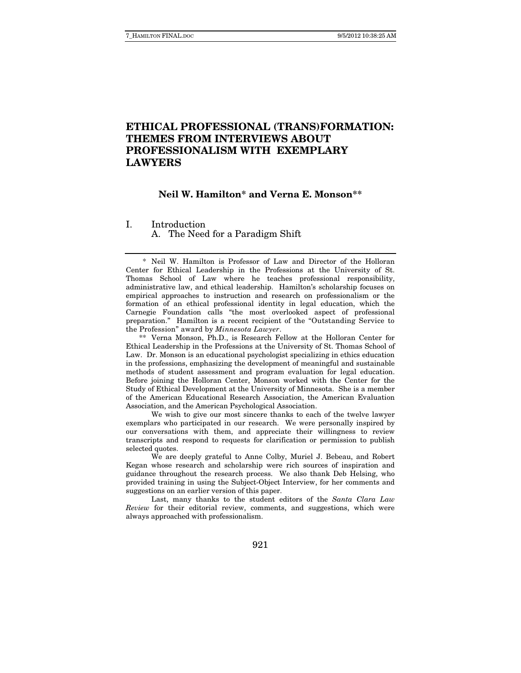# **ETHICAL PROFESSIONAL (TRANS)FORMATION: THEMES FROM INTERVIEWS ABOUT PROFESSIONALISM WITH EXEMPLARY LAWYERS**

### **Neil W. Hamilton\* and Verna E. Monson\*\***

I. Introduction A. The Need for a Paradigm Shift

 \* Neil W. Hamilton is Professor of Law and Director of the Holloran Center for Ethical Leadership in the Professions at the University of St. Thomas School of Law where he teaches professional responsibility, administrative law, and ethical leadership. Hamilton's scholarship focuses on empirical approaches to instruction and research on professionalism or the formation of an ethical professional identity in legal education, which the Carnegie Foundation calls "the most overlooked aspect of professional preparation." Hamilton is a recent recipient of the "Outstanding Service to the Profession" award by *Minnesota Lawyer*.

 \*\* Verna Monson, Ph.D., is Research Fellow at the Holloran Center for Ethical Leadership in the Professions at the University of St. Thomas School of Law. Dr. Monson is an educational psychologist specializing in ethics education in the professions, emphasizing the development of meaningful and sustainable methods of student assessment and program evaluation for legal education. Before joining the Holloran Center, Monson worked with the Center for the Study of Ethical Development at the University of Minnesota. She is a member of the American Educational Research Association, the American Evaluation Association, and the American Psychological Association.

 We wish to give our most sincere thanks to each of the twelve lawyer exemplars who participated in our research. We were personally inspired by our conversations with them, and appreciate their willingness to review transcripts and respond to requests for clarification or permission to publish selected quotes.

 We are deeply grateful to Anne Colby, Muriel J. Bebeau, and Robert Kegan whose research and scholarship were rich sources of inspiration and guidance throughout the research process. We also thank Deb Helsing, who provided training in using the Subject-Object Interview, for her comments and suggestions on an earlier version of this paper.

 Last, many thanks to the student editors of the Santa Clara Law Review for their editorial review, comments, and suggestions, which were always approached with professionalism.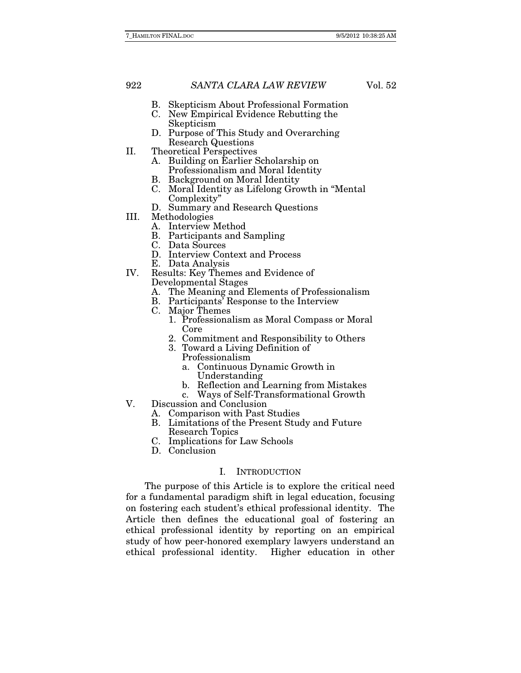- B. Skepticism About Professional Formation
- C. New Empirical Evidence Rebutting the Skepticism
- D. Purpose of This Study and Overarching Research Questions
- II. Theoretical Perspectives
	- A. Building on Earlier Scholarship on Professionalism and Moral Identity
		- B. Background on Moral Identity
		- C. Moral Identity as Lifelong Growth in "Mental Complexity"
		- D. Summary and Research Questions
- III. Methodologies
	- A. Interview Method
	- B. Participants and Sampling
	- C. Data Sources
	- D. Interview Context and Process
	- E. Data Analysis
- IV. Results: Key Themes and Evidence of Developmental Stages
	- A. The Meaning and Elements of Professionalism
	- B. Participants' Response to the Interview
	- C. Major Themes
		- 1. Professionalism as Moral Compass or Moral Core
		- 2. Commitment and Responsibility to Others
		- 3. Toward a Living Definition of Professionalism
			- a. Continuous Dynamic Growth in Understanding
			- b. Reflection and Learning from Mistakes
			- c. Ways of Self-Transformational Growth
- V. Discussion and Conclusion
	- A. Comparison with Past Studies
	- B. Limitations of the Present Study and Future Research Topics
	- C. Implications for Law Schools
	- D. Conclusion

# I. INTRODUCTION

The purpose of this Article is to explore the critical need for a fundamental paradigm shift in legal education, focusing on fostering each student's ethical professional identity. The Article then defines the educational goal of fostering an ethical professional identity by reporting on an empirical study of how peer-honored exemplary lawyers understand an ethical professional identity. Higher education in other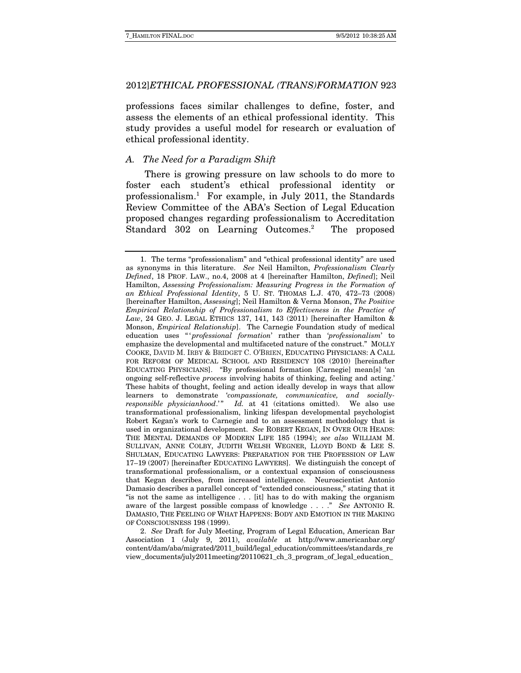professions faces similar challenges to define, foster, and assess the elements of an ethical professional identity. This study provides a useful model for research or evaluation of ethical professional identity.

# A. The Need for a Paradigm Shift

There is growing pressure on law schools to do more to foster each student's ethical professional identity or professionalism.1 For example, in July 2011, the Standards Review Committee of the ABA's Section of Legal Education proposed changes regarding professionalism to Accreditation Standard 302 on Learning Outcomes.<sup>2</sup> The proposed

 2. See Draft for July Meeting, Program of Legal Education, American Bar Association 1 (July 9, 2011), available at http://www.americanbar.org/ content/dam/aba/migrated/2011\_build/legal\_education/committees/standards\_re view\_documents/july2011meeting/20110621\_ch\_3\_program\_of\_legal\_education\_

 <sup>1.</sup> The terms "professionalism" and "ethical professional identity" are used as synonyms in this literature. See Neil Hamilton, Professionalism Clearly Defined, 18 PROF. LAW., no.4, 2008 at 4 [hereinafter Hamilton, Defined]; Neil Hamilton, Assessing Professionalism: Measuring Progress in the Formation of an Ethical Professional Identity, 5 U. ST. THOMAS L.J. 470, 472–73 (2008) [hereinafter Hamilton, Assessing]; Neil Hamilton & Verna Monson, The Positive Empirical Relationship of Professionalism to Effectiveness in the Practice of Law, 24 GEO. J. LEGAL ETHICS 137, 141, 143 (2011) [hereinafter Hamilton & Monson, Empirical Relationship]. The Carnegie Foundation study of medical education uses "'professional formation' rather than 'professionalism' to emphasize the developmental and multifaceted nature of the construct." MOLLY COOKE, DAVID M. IRBY & BRIDGET C. O'BRIEN, EDUCATING PHYSICIANS: A CALL FOR REFORM OF MEDICAL SCHOOL AND RESIDENCY 108 (2010) [hereinafter EDUCATING PHYSICIANS]. "By professional formation [Carnegie] mean[s] 'an ongoing self-reflective process involving habits of thinking, feeling and acting.' These habits of thought, feeling and action ideally develop in ways that allow learners to demonstrate 'compassionate, communicative, and sociallyresponsible physicianhood.'" Id. at 41 (citations omitted). We also use transformational professionalism, linking lifespan developmental psychologist Robert Kegan's work to Carnegie and to an assessment methodology that is used in organizational development. See ROBERT KEGAN, IN OVER OUR HEADS: THE MENTAL DEMANDS OF MODERN LIFE 185 (1994); see also WILLIAM M. SULLIVAN, ANNE COLBY, JUDITH WELSH WEGNER, LLOYD BOND & LEE S. SHULMAN, EDUCATING LAWYERS: PREPARATION FOR THE PROFESSION OF LAW 17–19 (2007) [hereinafter EDUCATING LAWYERS]. We distinguish the concept of transformational professionalism, or a contextual expansion of consciousness that Kegan describes, from increased intelligence. Neuroscientist Antonio Damasio describes a parallel concept of "extended consciousness," stating that it "is not the same as intelligence . . . [it] has to do with making the organism aware of the largest possible compass of knowledge . . . ." See ANTONIO R. DAMASIO, THE FEELING OF WHAT HAPPENS: BODY AND EMOTION IN THE MAKING OF CONSCIOUSNESS 198 (1999).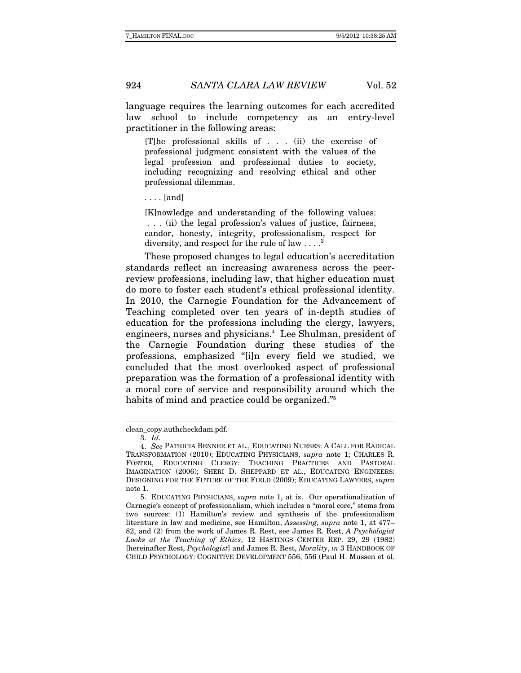language requires the learning outcomes for each accredited law school to include competency as an entry-level practitioner in the following areas:

[T]he professional skills of . . . (ii) the exercise of professional judgment consistent with the values of the legal profession and professional duties to society, including recognizing and resolving ethical and other professional dilemmas.

. . . . [and]

[K]nowledge and understanding of the following values: . . . (ii) the legal profession's values of justice, fairness, candor, honesty, integrity, professionalism, respect for diversity, and respect for the rule of law  $\dots$ .<sup>3</sup>

These proposed changes to legal education's accreditation standards reflect an increasing awareness across the peerreview professions, including law, that higher education must do more to foster each student's ethical professional identity. In 2010, the Carnegie Foundation for the Advancement of Teaching completed over ten years of in-depth studies of education for the professions including the clergy, lawyers, engineers, nurses and physicians.<sup>4</sup> Lee Shulman, president of the Carnegie Foundation during these studies of the professions, emphasized "[i]n every field we studied, we concluded that the most overlooked aspect of professional preparation was the formation of a professional identity with a moral core of service and responsibility around which the habits of mind and practice could be organized."<sup>5</sup>

clean\_copy.authcheckdam.pdf.

<sup>3.</sup> Id.

 <sup>4.</sup> See PATRICIA BENNER ET AL., EDUCATING NURSES: A CALL FOR RADICAL TRANSFORMATION (2010); EDUCATING PHYSICIANS, supra note 1; CHARLES R. FOSTER, EDUCATING CLERGY: TEACHING PRACTICES AND PASTORAL IMAGINATION (2006); SHERI D. SHEPPARD ET AL., EDUCATING ENGINEERS: DESIGNING FOR THE FUTURE OF THE FIELD (2009); EDUCATING LAWYERS, supra note 1.

 <sup>5.</sup> EDUCATING PHYSICIANS, supra note 1, at ix. Our operationalization of Carnegie's concept of professionalism, which includes a "moral core," stems from two sources: (1) Hamilton's review and synthesis of the professionalism literature in law and medicine, see Hamilton, Assessing, supra note 1, at 477– 82, and (2) from the work of James R. Rest, see James R. Rest, A Psychologist Looks at the Teaching of Ethics, 12 HASTINGS CENTER REP. 29, 29 (1982) [hereinafter Rest, Psychologist] and James R. Rest, Morality, in 3 HANDBOOK OF CHILD PSYCHOLOGY: COGNITIVE DEVELOPMENT 556, 556 (Paul H. Mussen et al.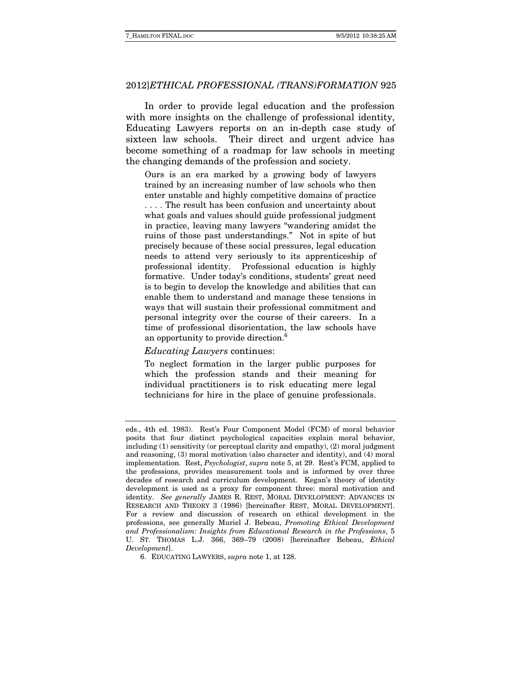In order to provide legal education and the profession with more insights on the challenge of professional identity, Educating Lawyers reports on an in-depth case study of sixteen law schools. Their direct and urgent advice has become something of a roadmap for law schools in meeting the changing demands of the profession and society.

Ours is an era marked by a growing body of lawyers trained by an increasing number of law schools who then enter unstable and highly competitive domains of practice . . . . The result has been confusion and uncertainty about what goals and values should guide professional judgment in practice, leaving many lawyers "wandering amidst the ruins of those past understandings." Not in spite of but precisely because of these social pressures, legal education needs to attend very seriously to its apprenticeship of professional identity. Professional education is highly formative. Under today's conditions, students' great need is to begin to develop the knowledge and abilities that can enable them to understand and manage these tensions in ways that will sustain their professional commitment and personal integrity over the course of their careers. In a time of professional disorientation, the law schools have an opportunity to provide direction.6

#### Educating Lawyers continues:

To neglect formation in the larger public purposes for which the profession stands and their meaning for individual practitioners is to risk educating mere legal technicians for hire in the place of genuine professionals.

eds., 4th ed. 1983). Rest's Four Component Model (FCM) of moral behavior posits that four distinct psychological capacities explain moral behavior, including (1) sensitivity (or perceptual clarity and empathy), (2) moral judgment and reasoning, (3) moral motivation (also character and identity), and (4) moral implementation. Rest, Psychologist, supra note 5, at 29. Rest's FCM, applied to the professions, provides measurement tools and is informed by over three decades of research and curriculum development. Kegan's theory of identity development is used as a proxy for component three: moral motivation and identity. See generally JAMES R. REST, MORAL DEVELOPMENT: ADVANCES IN RESEARCH AND THEORY 3 (1986) [hereinafter REST, MORAL DEVELOPMENT]. For a review and discussion of research on ethical development in the professions, see generally Muriel J. Bebeau, Promoting Ethical Development and Professionalism: Insights from Educational Research in the Professions, 5 U. ST. THOMAS L.J. 366, 369–79 (2008) [hereinafter Bebeau, Ethical Development].

 <sup>6.</sup> EDUCATING LAWYERS, supra note 1, at 128.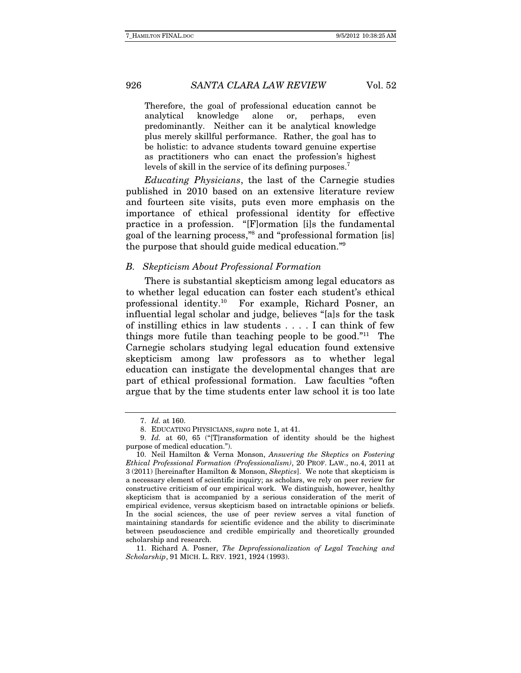Therefore, the goal of professional education cannot be analytical knowledge alone or, perhaps, even predominantly. Neither can it be analytical knowledge plus merely skillful performance. Rather, the goal has to be holistic: to advance students toward genuine expertise as practitioners who can enact the profession's highest levels of skill in the service of its defining purposes.<sup>7</sup>

Educating Physicians, the last of the Carnegie studies published in 2010 based on an extensive literature review and fourteen site visits, puts even more emphasis on the importance of ethical professional identity for effective practice in a profession. "[F]ormation [i]s the fundamental goal of the learning process,"8 and "professional formation [is] the purpose that should guide medical education."9

#### B. Skepticism About Professional Formation

There is substantial skepticism among legal educators as to whether legal education can foster each student's ethical professional identity.10 For example, Richard Posner, an influential legal scholar and judge, believes "[a]s for the task of instilling ethics in law students . . . . I can think of few things more futile than teaching people to be good."<sup>11</sup> The Carnegie scholars studying legal education found extensive skepticism among law professors as to whether legal education can instigate the developmental changes that are part of ethical professional formation. Law faculties "often argue that by the time students enter law school it is too late

 <sup>7.</sup> Id. at 160.

 <sup>8.</sup> EDUCATING PHYSICIANS, supra note 1, at 41.

 <sup>9.</sup> Id. at 60, 65 ("[T]ransformation of identity should be the highest purpose of medical education.").

 <sup>10.</sup> Neil Hamilton & Verna Monson, Answering the Skeptics on Fostering Ethical Professional Formation (Professionalism), 20 PROF. LAW., no.4, 2011 at 3 (2011) [hereinafter Hamilton & Monson, Skeptics]. We note that skepticism is a necessary element of scientific inquiry; as scholars, we rely on peer review for constructive criticism of our empirical work. We distinguish, however, healthy skepticism that is accompanied by a serious consideration of the merit of empirical evidence, versus skepticism based on intractable opinions or beliefs. In the social sciences, the use of peer review serves a vital function of maintaining standards for scientific evidence and the ability to discriminate between pseudoscience and credible empirically and theoretically grounded scholarship and research.

 <sup>11.</sup> Richard A. Posner, The Deprofessionalization of Legal Teaching and Scholarship, 91 MICH. L. REV. 1921, 1924 (1993).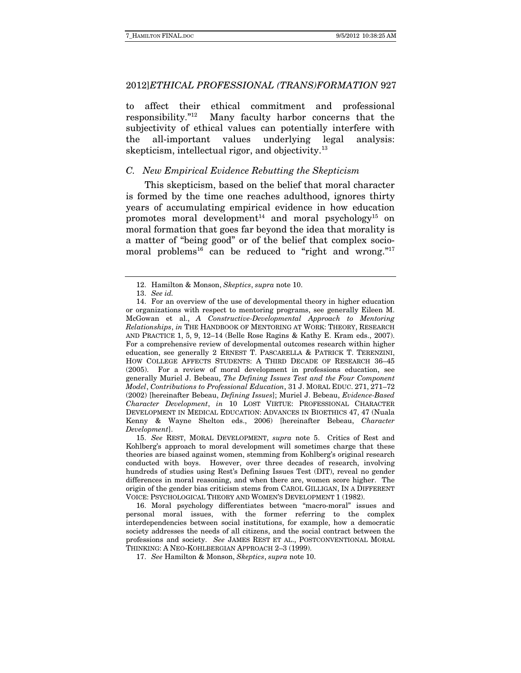to affect their ethical commitment and professional responsibility."12 Many faculty harbor concerns that the subjectivity of ethical values can potentially interfere with the all-important values underlying legal analysis: skepticism, intellectual rigor, and objectivity.<sup>13</sup>

#### C. New Empirical Evidence Rebutting the Skepticism

This skepticism, based on the belief that moral character is formed by the time one reaches adulthood, ignores thirty years of accumulating empirical evidence in how education promotes moral development<sup>14</sup> and moral psychology<sup>15</sup> on moral formation that goes far beyond the idea that morality is a matter of "being good" or of the belief that complex sociomoral problems<sup>16</sup> can be reduced to "right and wrong."<sup>17</sup>

 15. See REST, MORAL DEVELOPMENT, supra note 5. Critics of Rest and Kohlberg's approach to moral development will sometimes charge that these theories are biased against women, stemming from Kohlberg's original research conducted with boys. However, over three decades of research, involving hundreds of studies using Rest's Defining Issues Test (DIT), reveal no gender differences in moral reasoning, and when there are, women score higher. The origin of the gender bias criticism stems from CAROL GILLIGAN, IN A DIFFERENT VOICE: PSYCHOLOGICAL THEORY AND WOMEN'S DEVELOPMENT 1 (1982).

 16. Moral psychology differentiates between "macro-moral" issues and personal moral issues, with the former referring to the complex interdependencies between social institutions, for example, how a democratic society addresses the needs of all citizens, and the social contract between the professions and society. See JAMES REST ET AL., POSTCONVENTIONAL MORAL THINKING: A NEO-KOHLBERGIAN APPROACH 2–3 (1999).

17. See Hamilton & Monson, Skeptics, supra note 10.

 <sup>12.</sup> Hamilton & Monson, Skeptics, supra note 10.

 <sup>13.</sup> See id.

 <sup>14.</sup> For an overview of the use of developmental theory in higher education or organizations with respect to mentoring programs, see generally Eileen M. McGowan et al., A Constructive-Developmental Approach to Mentoring Relationships, in THE HANDBOOK OF MENTORING AT WORK: THEORY, RESEARCH AND PRACTICE 1, 5, 9, 12–14 (Belle Rose Ragins & Kathy E. Kram eds., 2007). For a comprehensive review of developmental outcomes research within higher education, see generally 2 ERNEST T. PASCARELLA & PATRICK T. TERENZINI, HOW COLLEGE AFFECTS STUDENTS: A THIRD DECADE OF RESEARCH 36–45 (2005). For a review of moral development in professions education, see generally Muriel J. Bebeau, The Defining Issues Test and the Four Component Model, Contributions to Professional Education, 31 J. MORAL EDUC. 271, 271–72 (2002) [hereinafter Bebeau, Defining Issues]; Muriel J. Bebeau, Evidence-Based Character Development, in 10 LOST VIRTUE: PROFESSIONAL CHARACTER DEVELOPMENT IN MEDICAL EDUCATION: ADVANCES IN BIOETHICS 47, 47 (Nuala Kenny & Wayne Shelton eds., 2006) [hereinafter Bebeau, Character Development].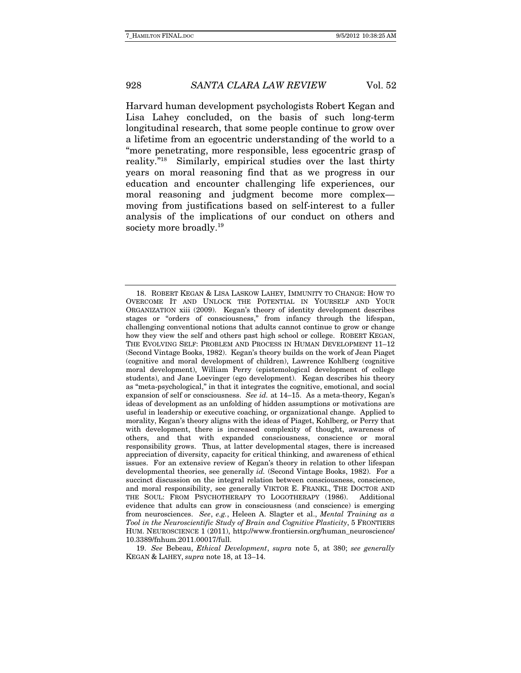Harvard human development psychologists Robert Kegan and Lisa Lahey concluded, on the basis of such long-term longitudinal research, that some people continue to grow over a lifetime from an egocentric understanding of the world to a "more penetrating, more responsible, less egocentric grasp of reality."18 Similarly, empirical studies over the last thirty years on moral reasoning find that as we progress in our education and encounter challenging life experiences, our moral reasoning and judgment become more complex moving from justifications based on self-interest to a fuller analysis of the implications of our conduct on others and society more broadly.<sup>19</sup>

 19. See Bebeau, Ethical Development, supra note 5, at 380; see generally KEGAN & LAHEY, supra note 18, at 13–14.

 <sup>18.</sup> ROBERT KEGAN & LISA LASKOW LAHEY, IMMUNITY TO CHANGE: HOW TO OVERCOME IT AND UNLOCK THE POTENTIAL IN YOURSELF AND YOUR ORGANIZATION xiii (2009). Kegan's theory of identity development describes stages or "orders of consciousness," from infancy through the lifespan, challenging conventional notions that adults cannot continue to grow or change how they view the self and others past high school or college. ROBERT KEGAN, THE EVOLVING SELF: PROBLEM AND PROCESS IN HUMAN DEVELOPMENT 11–12 (Second Vintage Books, 1982). Kegan's theory builds on the work of Jean Piaget (cognitive and moral development of children), Lawrence Kohlberg (cognitive moral development), William Perry (epistemological development of college students), and Jane Loevinger (ego development). Kegan describes his theory as "meta-psychological," in that it integrates the cognitive, emotional, and social expansion of self or consciousness. See id. at 14–15. As a meta-theory, Kegan's ideas of development as an unfolding of hidden assumptions or motivations are useful in leadership or executive coaching, or organizational change. Applied to morality, Kegan's theory aligns with the ideas of Piaget, Kohlberg, or Perry that with development, there is increased complexity of thought, awareness of others, and that with expanded consciousness, conscience or moral responsibility grows. Thus, at latter developmental stages, there is increased appreciation of diversity, capacity for critical thinking, and awareness of ethical issues. For an extensive review of Kegan's theory in relation to other lifespan developmental theories, see generally id. (Second Vintage Books, 1982). For a succinct discussion on the integral relation between consciousness, conscience, and moral responsibility, see generally VIKTOR E. FRANKL, THE DOCTOR AND THE SOUL: FROM PSYCHOTHERAPY TO LOGOTHERAPY (1986). Additional evidence that adults can grow in consciousness (and conscience) is emerging from neurosciences. See, e.g., Heleen A. Slagter et al., Mental Training as a Tool in the Neuroscientific Study of Brain and Cognitive Plasticity, 5 FRONTIERS HUM. NEUROSCIENCE 1 (2011), http://www.frontiersin.org/human\_neuroscience/ 10.3389/fnhum.2011.00017/full.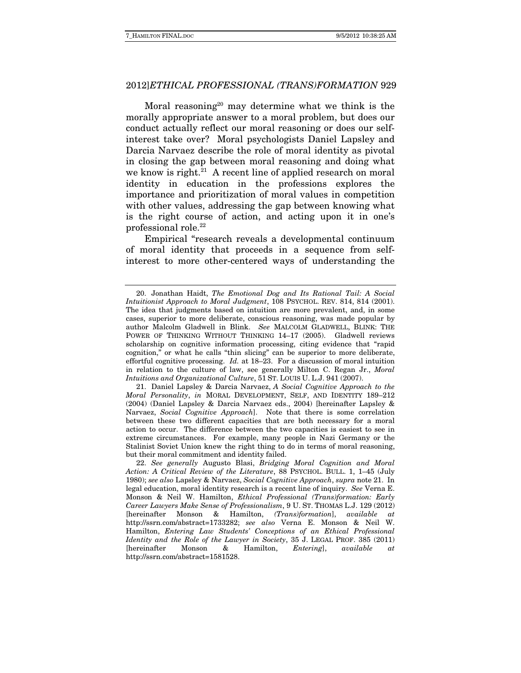Moral reasoning<sup>20</sup> may determine what we think is the morally appropriate answer to a moral problem, but does our conduct actually reflect our moral reasoning or does our selfinterest take over? Moral psychologists Daniel Lapsley and Darcia Narvaez describe the role of moral identity as pivotal in closing the gap between moral reasoning and doing what we know is right.<sup>21</sup> A recent line of applied research on moral identity in education in the professions explores the importance and prioritization of moral values in competition with other values, addressing the gap between knowing what is the right course of action, and acting upon it in one's professional role.22

Empirical "research reveals a developmental continuum of moral identity that proceeds in a sequence from selfinterest to more other-centered ways of understanding the

 <sup>20.</sup> Jonathan Haidt, The Emotional Dog and Its Rational Tail: A Social Intuitionist Approach to Moral Judgment, 108 PSYCHOL. REV. 814, 814 (2001). The idea that judgments based on intuition are more prevalent, and, in some cases, superior to more deliberate, conscious reasoning, was made popular by author Malcolm Gladwell in Blink. See MALCOLM GLADWELL, BLINK: THE POWER OF THINKING WITHOUT THINKING 14–17 (2005). Gladwell reviews scholarship on cognitive information processing, citing evidence that "rapid cognition," or what he calls "thin slicing" can be superior to more deliberate, effortful cognitive processing. Id. at 18–23. For a discussion of moral intuition in relation to the culture of law, see generally Milton C. Regan Jr., Moral Intuitions and Organizational Culture, 51 ST. LOUIS U. L.J. 941 (2007).

 <sup>21.</sup> Daniel Lapsley & Darcia Narvaez, A Social Cognitive Approach to the Moral Personality, in MORAL DEVELOPMENT, SELF, AND IDENTITY 189–212 (2004) (Daniel Lapsley & Darcia Narvaez eds., 2004) [hereinafter Lapsley & Narvaez, Social Cognitive Approach]. Note that there is some correlation between these two different capacities that are both necessary for a moral action to occur. The difference between the two capacities is easiest to see in extreme circumstances. For example, many people in Nazi Germany or the Stalinist Soviet Union knew the right thing to do in terms of moral reasoning, but their moral commitment and identity failed.

 <sup>22.</sup> See generally Augusto Blasi, Bridging Moral Cognition and Moral Action: A Critical Review of the Literature, 88 PSYCHOL. BULL. 1, 1–45 (July 1980); see also Lapsley & Narvaez, Social Cognitive Approach, supra note 21. In legal education, moral identity research is a recent line of inquiry. See Verna E. Monson & Neil W. Hamilton, Ethical Professional (Trans)formation: Early Career Lawyers Make Sense of Professionalism, 9 U. ST. THOMAS L.J. 129 (2012) [hereinafter Monson & Hamilton, (Trans)formation], available at http://ssrn.com/abstract=1733282; see also Verna E. Monson & Neil W. Hamilton, Entering Law Students' Conceptions of an Ethical Professional Identity and the Role of the Lawyer in Society, 35 J. LEGAL PROF. 385 (2011) [hereinafter Monson & Hamilton, Entering], available at http://ssrn.com/abstract=1581528.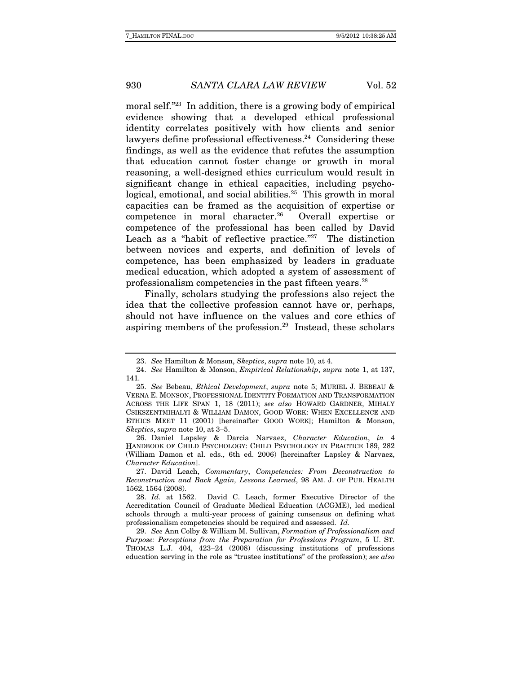moral self."<sup>23</sup> In addition, there is a growing body of empirical evidence showing that a developed ethical professional identity correlates positively with how clients and senior lawyers define professional effectiveness.<sup>24</sup> Considering these findings, as well as the evidence that refutes the assumption that education cannot foster change or growth in moral reasoning, a well-designed ethics curriculum would result in significant change in ethical capacities, including psychological, emotional, and social abilities.<sup>25</sup> This growth in moral capacities can be framed as the acquisition of expertise or competence in moral character.26 Overall expertise or competence of the professional has been called by David Leach as a "habit of reflective practice."<sup>27</sup> The distinction between novices and experts, and definition of levels of competence, has been emphasized by leaders in graduate medical education, which adopted a system of assessment of professionalism competencies in the past fifteen years.28

Finally, scholars studying the professions also reject the idea that the collective profession cannot have or, perhaps, should not have influence on the values and core ethics of aspiring members of the profession.29 Instead, these scholars

 26. Daniel Lapsley & Darcia Narvaez, Character Education, in 4 HANDBOOK OF CHILD PSYCHOLOGY: CHILD PSYCHOLOGY IN PRACTICE 189, 282 (William Damon et al. eds., 6th ed. 2006) [hereinafter Lapsley & Narvaez, Character Education].

<sup>23.</sup> See Hamilton & Monson, Skeptics, supra note 10, at 4.

 <sup>24.</sup> See Hamilton & Monson, Empirical Relationship, supra note 1, at 137, 141.

 <sup>25.</sup> See Bebeau, Ethical Development, supra note 5; MURIEL J. BEBEAU & VERNA E. MONSON, PROFESSIONAL IDENTITY FORMATION AND TRANSFORMATION ACROSS THE LIFE SPAN 1, 18 (2011); see also HOWARD GARDNER, MIHALY CSIKSZENTMIHALYI & WILLIAM DAMON, GOOD WORK: WHEN EXCELLENCE AND ETHICS MEET 11 (2001) [hereinafter GOOD WORK]; Hamilton & Monson, Skeptics, supra note 10, at 3–5.

 <sup>27.</sup> David Leach, Commentary, Competencies: From Deconstruction to Reconstruction and Back Again, Lessons Learned, 98 AM. J. OF PUB. HEALTH 1562, 1564 (2008).

 <sup>28.</sup> Id. at 1562. David C. Leach, former Executive Director of the Accreditation Council of Graduate Medical Education (ACGME), led medical schools through a multi-year process of gaining consensus on defining what professionalism competencies should be required and assessed. Id.

 <sup>29.</sup> See Ann Colby & William M. Sullivan, Formation of Professionalism and Purpose: Perceptions from the Preparation for Professions Program, 5 U. ST. THOMAS L.J. 404, 423–24 (2008) (discussing institutions of professions education serving in the role as "trustee institutions" of the profession); see also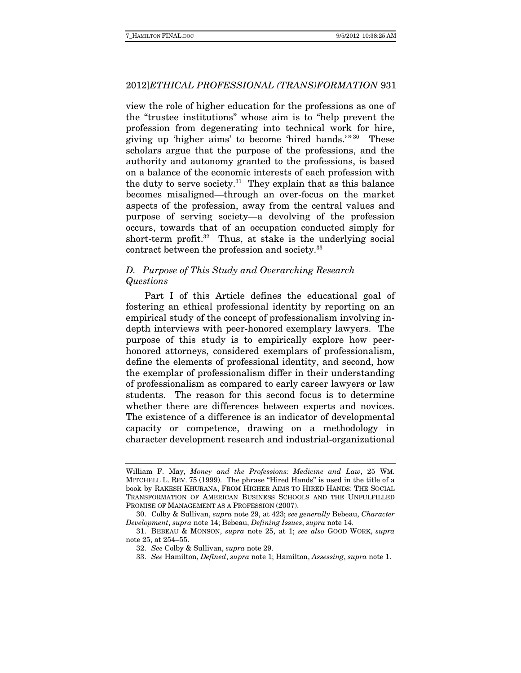view the role of higher education for the professions as one of the "trustee institutions" whose aim is to "help prevent the profession from degenerating into technical work for hire, giving up 'higher aims' to become 'hired hands.'" 30 These scholars argue that the purpose of the professions, and the authority and autonomy granted to the professions, is based on a balance of the economic interests of each profession with the duty to serve society. $31$  They explain that as this balance becomes misaligned—through an over-focus on the market aspects of the profession, away from the central values and purpose of serving society—a devolving of the profession occurs, towards that of an occupation conducted simply for short-term profit. $32$  Thus, at stake is the underlying social contract between the profession and society.33

# D. Purpose of This Study and Overarching Research Questions

Part I of this Article defines the educational goal of fostering an ethical professional identity by reporting on an empirical study of the concept of professionalism involving indepth interviews with peer-honored exemplary lawyers. The purpose of this study is to empirically explore how peerhonored attorneys, considered exemplars of professionalism, define the elements of professional identity, and second, how the exemplar of professionalism differ in their understanding of professionalism as compared to early career lawyers or law students. The reason for this second focus is to determine whether there are differences between experts and novices. The existence of a difference is an indicator of developmental capacity or competence, drawing on a methodology in character development research and industrial-organizational

William F. May, Money and the Professions: Medicine and Law, 25 WM. MITCHELL L. REV. 75 (1999). The phrase "Hired Hands" is used in the title of a book by RAKESH KHURANA, FROM HIGHER AIMS TO HIRED HANDS: THE SOCIAL TRANSFORMATION OF AMERICAN BUSINESS SCHOOLS AND THE UNFULFILLED PROMISE OF MANAGEMENT AS A PROFESSION (2007).

 <sup>30.</sup> Colby & Sullivan, supra note 29, at 423; see generally Bebeau, Character Development, supra note 14; Bebeau, Defining Issues, supra note 14.

 <sup>31.</sup> BEBEAU & MONSON, supra note 25, at 1; see also GOOD WORK, supra note 25, at 254–55.

 <sup>32.</sup> See Colby & Sullivan, supra note 29.

 <sup>33.</sup> See Hamilton, Defined, supra note 1; Hamilton, Assessing, supra note 1.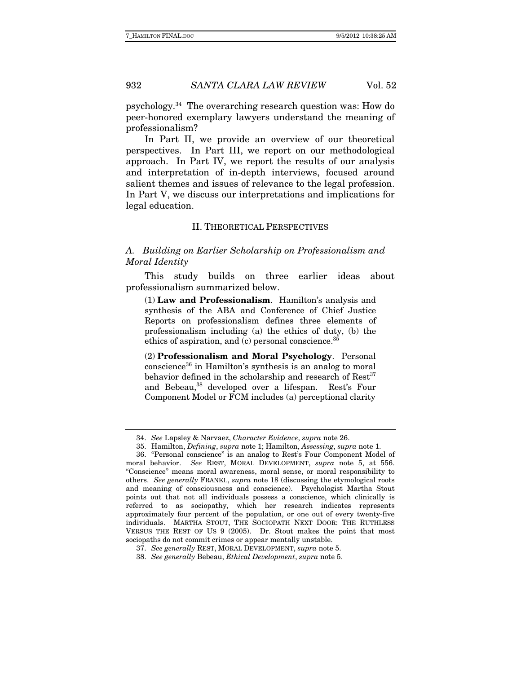psychology.34 The overarching research question was: How do peer-honored exemplary lawyers understand the meaning of professionalism?

In Part II, we provide an overview of our theoretical perspectives. In Part III, we report on our methodological approach. In Part IV, we report the results of our analysis and interpretation of in-depth interviews, focused around salient themes and issues of relevance to the legal profession. In Part V, we discuss our interpretations and implications for legal education.

### II. THEORETICAL PERSPECTIVES

# A. Building on Earlier Scholarship on Professionalism and Moral Identity

This study builds on three earlier ideas about professionalism summarized below.

(1) **Law and Professionalism**. Hamilton's analysis and synthesis of the ABA and Conference of Chief Justice Reports on professionalism defines three elements of professionalism including (a) the ethics of duty, (b) the ethics of aspiration, and  $(c)$  personal conscience.<sup>35</sup>

(2) **Professionalism and Moral Psychology**. Personal conscience36 in Hamilton's synthesis is an analog to moral behavior defined in the scholarship and research of  $Rest<sup>37</sup>$ and Bebeau,<sup>38</sup> developed over a lifespan. Rest's Four Component Model or FCM includes (a) perceptional clarity

 <sup>34.</sup> See Lapsley & Narvaez, Character Evidence, supra note 26.

 <sup>35.</sup> Hamilton, Defining, supra note 1; Hamilton, Assessing, supra note 1.

 <sup>36. &</sup>quot;Personal conscience" is an analog to Rest's Four Component Model of moral behavior. See REST, MORAL DEVELOPMENT, supra note 5, at 556. "Conscience" means moral awareness, moral sense, or moral responsibility to others. See generally FRANKL, supra note 18 (discussing the etymological roots and meaning of consciousness and conscience). Psychologist Martha Stout points out that not all individuals possess a conscience, which clinically is referred to as sociopathy, which her research indicates represents approximately four percent of the population, or one out of every twenty-five individuals. MARTHA STOUT, THE SOCIOPATH NEXT DOOR: THE RUTHLESS VERSUS THE REST OF US 9 (2005). Dr. Stout makes the point that most sociopaths do not commit crimes or appear mentally unstable.

 <sup>37.</sup> See generally REST, MORAL DEVELOPMENT, supra note 5.

 <sup>38.</sup> See generally Bebeau, Ethical Development, supra note 5.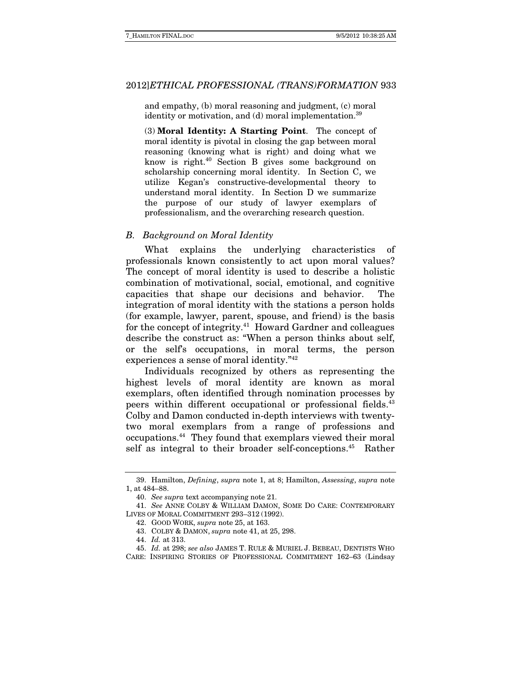and empathy, (b) moral reasoning and judgment, (c) moral identity or motivation, and  $(d)$  moral implementation.<sup>39</sup>

(3) **Moral Identity: A Starting Point**. The concept of moral identity is pivotal in closing the gap between moral reasoning (knowing what is right) and doing what we know is right.40 Section B gives some background on scholarship concerning moral identity. In Section C, we utilize Kegan's constructive-developmental theory to understand moral identity. In Section D we summarize the purpose of our study of lawyer exemplars of professionalism, and the overarching research question.

#### B. Background on Moral Identity

 What explains the underlying characteristics of professionals known consistently to act upon moral values? The concept of moral identity is used to describe a holistic combination of motivational, social, emotional, and cognitive capacities that shape our decisions and behavior. The integration of moral identity with the stations a person holds (for example, lawyer, parent, spouse, and friend) is the basis for the concept of integrity.<sup>41</sup> Howard Gardner and colleagues describe the construct as: "When a person thinks about self, or the self's occupations, in moral terms, the person experiences a sense of moral identity."42

Individuals recognized by others as representing the highest levels of moral identity are known as moral exemplars, often identified through nomination processes by peers within different occupational or professional fields.<sup>43</sup> Colby and Damon conducted in-depth interviews with twentytwo moral exemplars from a range of professions and occupations.44 They found that exemplars viewed their moral self as integral to their broader self-conceptions.<sup>45</sup> Rather

 <sup>39.</sup> Hamilton, Defining, supra note 1, at 8; Hamilton, Assessing, supra note 1, at 484–88.

 <sup>40.</sup> See supra text accompanying note 21.

 <sup>41.</sup> See ANNE COLBY & WILLIAM DAMON, SOME DO CARE: CONTEMPORARY LIVES OF MORAL COMMITMENT 293–312 (1992).

 <sup>42.</sup> GOOD WORK, supra note 25, at 163.

 <sup>43.</sup> COLBY & DAMON, supra note 41, at 25, 298.

 <sup>44.</sup> Id. at 313.

 <sup>45.</sup> Id. at 298; see also JAMES T. RULE & MURIEL J. BEBEAU, DENTISTS WHO CARE: INSPIRING STORIES OF PROFESSIONAL COMMITMENT 162–63 (Lindsay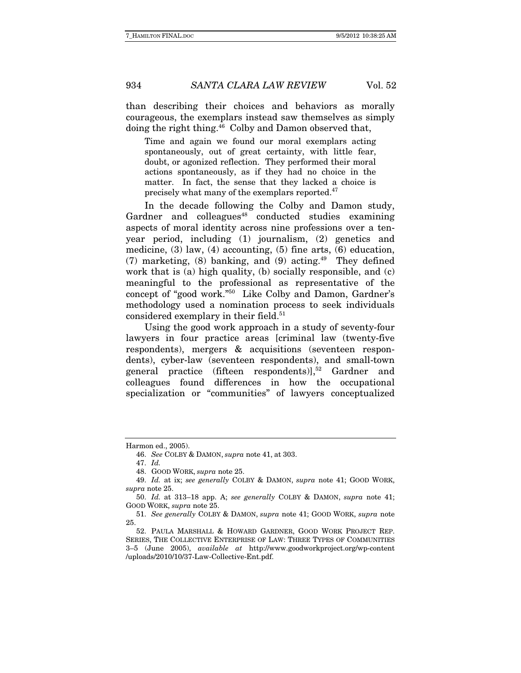than describing their choices and behaviors as morally courageous, the exemplars instead saw themselves as simply doing the right thing.46 Colby and Damon observed that,

Time and again we found our moral exemplars acting spontaneously, out of great certainty, with little fear, doubt, or agonized reflection. They performed their moral actions spontaneously, as if they had no choice in the matter. In fact, the sense that they lacked a choice is precisely what many of the exemplars reported.<sup>47</sup>

In the decade following the Colby and Damon study, Gardner and colleagues<sup>48</sup> conducted studies examining aspects of moral identity across nine professions over a tenyear period, including (1) journalism, (2) genetics and medicine, (3) law, (4) accounting, (5) fine arts, (6) education, (7) marketing, (8) banking, and (9) acting.<sup>49</sup> They defined work that is (a) high quality, (b) socially responsible, and (c) meaningful to the professional as representative of the concept of "good work."50 Like Colby and Damon, Gardner's methodology used a nomination process to seek individuals considered exemplary in their field.<sup>51</sup>

Using the good work approach in a study of seventy-four lawyers in four practice areas [criminal law (twenty-five respondents), mergers & acquisitions (seventeen respondents), cyber-law (seventeen respondents), and small-town general practice (fifteen respondents) $]$ ,<sup>52</sup> Gardner and colleagues found differences in how the occupational specialization or "communities" of lawyers conceptualized

Harmon ed., 2005).

 <sup>46.</sup> See COLBY & DAMON, supra note 41, at 303.

 <sup>47.</sup> Id.

 <sup>48.</sup> GOOD WORK, supra note 25.

 <sup>49.</sup> Id. at ix; see generally COLBY & DAMON, supra note 41; GOOD WORK, supra note 25.

 <sup>50.</sup> Id. at 313–18 app. A; see generally COLBY & DAMON, supra note 41; GOOD WORK, supra note 25.

 <sup>51.</sup> See generally COLBY & DAMON, supra note 41; GOOD WORK, supra note 25.

 <sup>52.</sup> PAULA MARSHALL & HOWARD GARDNER, GOOD WORK PROJECT REP. SERIES, THE COLLECTIVE ENTERPRISE OF LAW: THREE TYPES OF COMMUNITIES 3–5 (June 2005), available at http://www.goodworkproject.org/wp-content /uploads/2010/10/37-Law-Collective-Ent.pdf.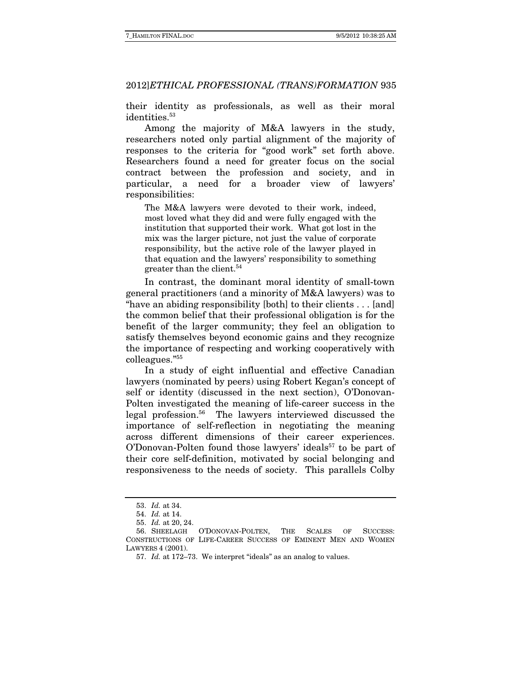their identity as professionals, as well as their moral identities.<sup>53</sup>

Among the majority of M&A lawyers in the study, researchers noted only partial alignment of the majority of responses to the criteria for "good work" set forth above. Researchers found a need for greater focus on the social contract between the profession and society, and in particular, a need for a broader view of lawyers' responsibilities:

The M&A lawyers were devoted to their work, indeed, most loved what they did and were fully engaged with the institution that supported their work. What got lost in the mix was the larger picture, not just the value of corporate responsibility, but the active role of the lawyer played in that equation and the lawyers' responsibility to something greater than the client.<sup>54</sup>

In contrast, the dominant moral identity of small-town general practitioners (and a minority of M&A lawyers) was to "have an abiding responsibility [both] to their clients . . . [and] the common belief that their professional obligation is for the benefit of the larger community; they feel an obligation to satisfy themselves beyond economic gains and they recognize the importance of respecting and working cooperatively with colleagues."55

In a study of eight influential and effective Canadian lawyers (nominated by peers) using Robert Kegan's concept of self or identity (discussed in the next section), O'Donovan-Polten investigated the meaning of life-career success in the legal profession.56 The lawyers interviewed discussed the importance of self-reflection in negotiating the meaning across different dimensions of their career experiences. O'Donovan-Polten found those lawyers' ideals<sup>57</sup> to be part of their core self-definition, motivated by social belonging and responsiveness to the needs of society. This parallels Colby

 <sup>53.</sup> Id. at 34.

 <sup>54.</sup> Id. at 14.

 <sup>55.</sup> Id. at 20, 24.

 <sup>56.</sup> SHEELAGH O'DONOVAN-POLTEN, THE SCALES OF SUCCESS: CONSTRUCTIONS OF LIFE-CAREER SUCCESS OF EMINENT MEN AND WOMEN LAWYERS 4 (2001).

 <sup>57.</sup> Id. at 172–73. We interpret "ideals" as an analog to values.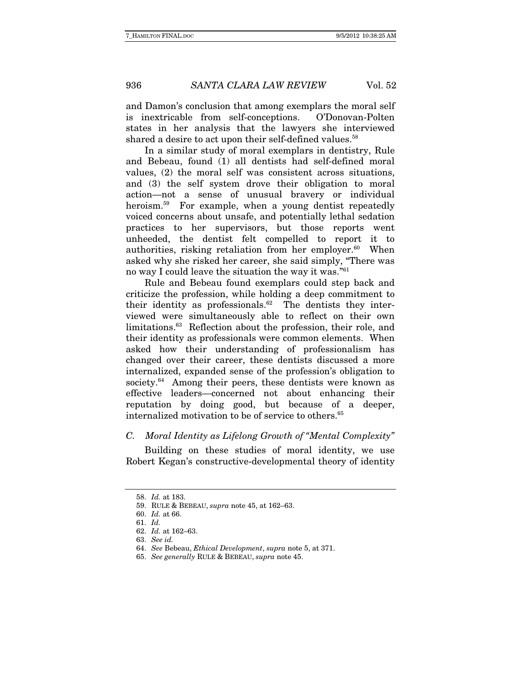and Damon's conclusion that among exemplars the moral self is inextricable from self-conceptions. O'Donovan-Polten states in her analysis that the lawyers she interviewed shared a desire to act upon their self-defined values.<sup>58</sup>

In a similar study of moral exemplars in dentistry, Rule and Bebeau, found (1) all dentists had self-defined moral values, (2) the moral self was consistent across situations, and (3) the self system drove their obligation to moral action—not a sense of unusual bravery or individual heroism.<sup>59</sup> For example, when a young dentist repeatedly voiced concerns about unsafe, and potentially lethal sedation practices to her supervisors, but those reports went unheeded, the dentist felt compelled to report it to authorities, risking retaliation from her employer. $60$  When asked why she risked her career, she said simply, "There was no way I could leave the situation the way it was."61

Rule and Bebeau found exemplars could step back and criticize the profession, while holding a deep commitment to their identity as professionals. $62$  The dentists they interviewed were simultaneously able to reflect on their own limitations.63 Reflection about the profession, their role, and their identity as professionals were common elements. When asked how their understanding of professionalism has changed over their career, these dentists discussed a more internalized, expanded sense of the profession's obligation to society.<sup>64</sup> Among their peers, these dentists were known as effective leaders—concerned not about enhancing their reputation by doing good, but because of a deeper, internalized motivation to be of service to others.<sup>65</sup>

### C. Moral Identity as Lifelong Growth of "Mental Complexity"

Building on these studies of moral identity, we use Robert Kegan's constructive-developmental theory of identity

 <sup>58.</sup> Id. at 183.

 <sup>59.</sup> RULE & BEBEAU, supra note 45, at 162–63.

 <sup>60.</sup> Id. at 66.

 <sup>61.</sup> Id.

 <sup>62.</sup> Id. at 162–63.

 <sup>63.</sup> See id.

 <sup>64.</sup> See Bebeau, Ethical Development, supra note 5, at 371.

 <sup>65.</sup> See generally RULE & BEBEAU, supra note 45.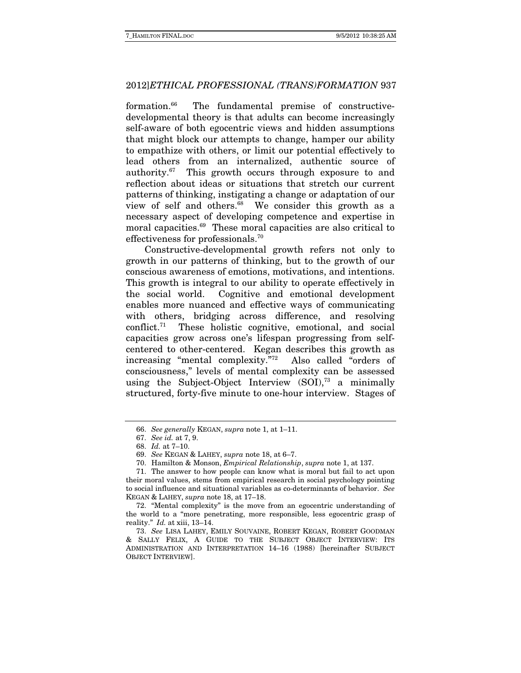formation.66 The fundamental premise of constructivedevelopmental theory is that adults can become increasingly self-aware of both egocentric views and hidden assumptions that might block our attempts to change, hamper our ability to empathize with others, or limit our potential effectively to lead others from an internalized, authentic source of authority.67 This growth occurs through exposure to and reflection about ideas or situations that stretch our current patterns of thinking, instigating a change or adaptation of our view of self and others.<sup>68</sup> We consider this growth as a necessary aspect of developing competence and expertise in moral capacities.69 These moral capacities are also critical to effectiveness for professionals.70

Constructive-developmental growth refers not only to growth in our patterns of thinking, but to the growth of our conscious awareness of emotions, motivations, and intentions. This growth is integral to our ability to operate effectively in the social world. Cognitive and emotional development enables more nuanced and effective ways of communicating with others, bridging across difference, and resolving conflict.71 These holistic cognitive, emotional, and social capacities grow across one's lifespan progressing from selfcentered to other-centered. Kegan describes this growth as increasing "mental complexity."72 Also called "orders of consciousness," levels of mental complexity can be assessed using the Subject-Object Interview  $(SOI)$ ,<sup>73</sup> a minimally structured, forty-five minute to one-hour interview. Stages of

 <sup>66.</sup> See generally KEGAN, supra note 1, at 1–11.

 <sup>67.</sup> See id. at 7, 9.

 <sup>68.</sup> Id. at 7–10.

 <sup>69.</sup> See KEGAN & LAHEY, supra note 18, at 6–7.

 <sup>70.</sup> Hamilton & Monson, Empirical Relationship, supra note 1, at 137.

 <sup>71.</sup> The answer to how people can know what is moral but fail to act upon their moral values, stems from empirical research in social psychology pointing to social influence and situational variables as co-determinants of behavior. See KEGAN & LAHEY, supra note 18, at 17–18.

 <sup>72. &</sup>quot;Mental complexity" is the move from an egocentric understanding of the world to a "more penetrating, more responsible, less egocentric grasp of reality." Id. at xiii, 13–14.

 <sup>73.</sup> See LISA LAHEY, EMILY SOUVAINE, ROBERT KEGAN, ROBERT GOODMAN & SALLY FELIX, A GUIDE TO THE SUBJECT OBJECT INTERVIEW: ITS ADMINISTRATION AND INTERPRETATION 14–16 (1988) [hereinafter SUBJECT OBJECT INTERVIEW].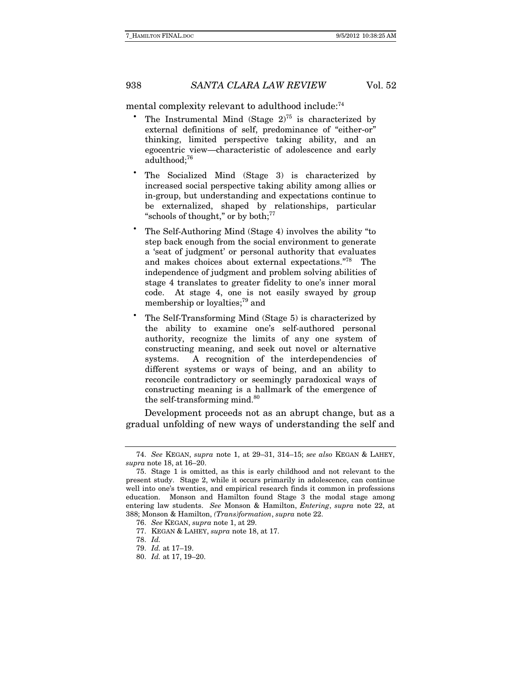mental complexity relevant to adulthood include:<sup>74</sup>

- The Instrumental Mind (Stage  $2^{75}$  is characterized by external definitions of self, predominance of "either-or" thinking, limited perspective taking ability, and an egocentric view—characteristic of adolescence and early adulthood;<sup>76</sup>
- The Socialized Mind (Stage 3) is characterized by increased social perspective taking ability among allies or in-group, but understanding and expectations continue to be externalized, shaped by relationships, particular "schools of thought," or by both;<sup>77</sup>
- The Self-Authoring Mind (Stage 4) involves the ability "to step back enough from the social environment to generate a 'seat of judgment' or personal authority that evaluates and makes choices about external expectations."78 The independence of judgment and problem solving abilities of stage 4 translates to greater fidelity to one's inner moral code. At stage 4, one is not easily swayed by group membership or loyalties;<sup>79</sup> and
- The Self-Transforming Mind (Stage 5) is characterized by the ability to examine one's self-authored personal authority, recognize the limits of any one system of constructing meaning, and seek out novel or alternative systems. A recognition of the interdependencies of different systems or ways of being, and an ability to reconcile contradictory or seemingly paradoxical ways of constructing meaning is a hallmark of the emergence of the self-transforming mind.<sup>80</sup>

Development proceeds not as an abrupt change, but as a gradual unfolding of new ways of understanding the self and

 <sup>74.</sup> See KEGAN, supra note 1, at 29–31, 314–15; see also KEGAN & LAHEY, supra note 18, at 16–20.

 <sup>75.</sup> Stage 1 is omitted, as this is early childhood and not relevant to the present study. Stage 2, while it occurs primarily in adolescence, can continue well into one's twenties, and empirical research finds it common in professions education. Monson and Hamilton found Stage 3 the modal stage among entering law students. See Monson & Hamilton, Entering, supra note 22, at 388; Monson & Hamilton, (Trans)formation, supra note 22.

 <sup>76.</sup> See KEGAN, supra note 1, at 29.

 <sup>77.</sup> KEGAN & LAHEY, supra note 18, at 17.

 <sup>78.</sup> Id.

 <sup>79.</sup> Id. at 17–19.

 <sup>80.</sup> Id. at 17, 19–20.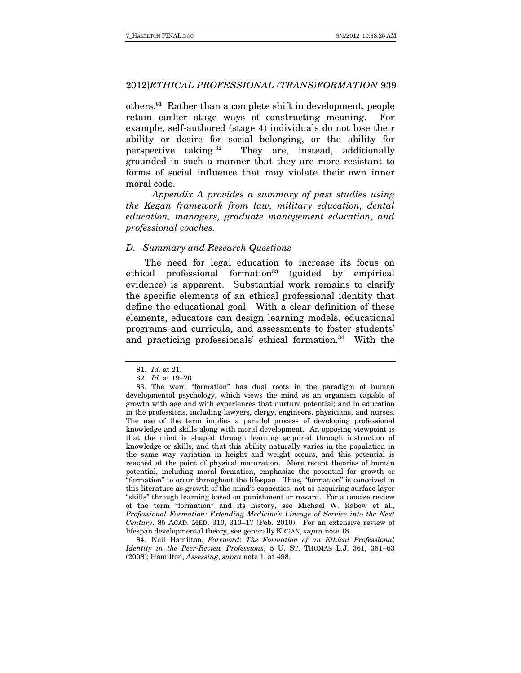others.81 Rather than a complete shift in development, people retain earlier stage ways of constructing meaning. For example, self-authored (stage 4) individuals do not lose their ability or desire for social belonging, or the ability for perspective taking.<sup>82</sup> They are, instead, additionally grounded in such a manner that they are more resistant to forms of social influence that may violate their own inner moral code.

 Appendix A provides a summary of past studies using the Kegan framework from law, military education, dental education, managers, graduate management education, and professional coaches.

#### D. Summary and Research Questions

The need for legal education to increase its focus on ethical professional formation<sup>83</sup> (guided by empirical evidence) is apparent. Substantial work remains to clarify the specific elements of an ethical professional identity that define the educational goal. With a clear definition of these elements, educators can design learning models, educational programs and curricula, and assessments to foster students' and practicing professionals' ethical formation.<sup>84</sup> With the

 84. Neil Hamilton, Foreword: The Formation of an Ethical Professional Identity in the Peer-Review Professions, 5 U. ST. THOMAS L.J. 361, 361–63 (2008); Hamilton, Assessing, supra note 1, at 498.

 <sup>81.</sup> Id. at 21.

 <sup>82.</sup> Id. at 19–20.

 <sup>83.</sup> The word "formation" has dual roots in the paradigm of human developmental psychology, which views the mind as an organism capable of growth with age and with experiences that nurture potential; and in education in the professions, including lawyers, clergy, engineers, physicians, and nurses. The use of the term implies a parallel process of developing professional knowledge and skills along with moral development. An opposing viewpoint is that the mind is shaped through learning acquired through instruction of knowledge or skills, and that this ability naturally varies in the population in the same way variation in height and weight occurs, and this potential is reached at the point of physical maturation. More recent theories of human potential, including moral formation, emphasize the potential for growth or "formation" to occur throughout the lifespan. Thus, "formation" is conceived in this literature as growth of the mind's capacities, not as acquiring surface layer "skills" through learning based on punishment or reward. For a concise review of the term "formation" and its history, see Michael W. Rabow et al., Professional Formation: Extending Medicine's Lineage of Service into the Next Century, 85 ACAD. MED. 310, 310–17 (Feb. 2010). For an extensive review of lifespan developmental theory, see generally KEGAN, supra note 18.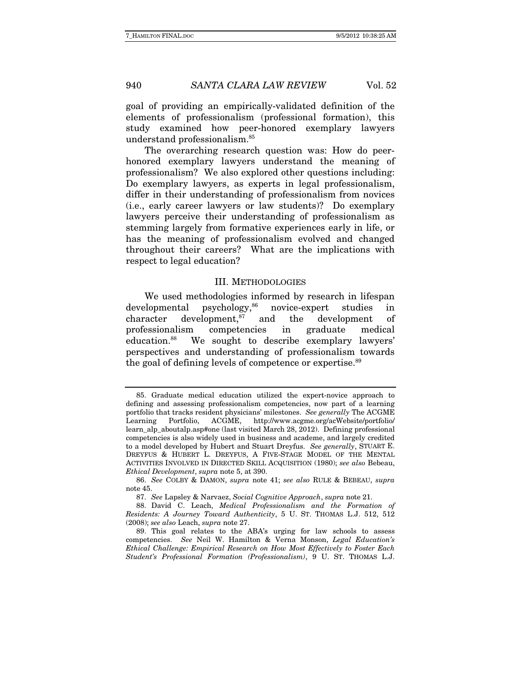goal of providing an empirically-validated definition of the elements of professionalism (professional formation), this study examined how peer-honored exemplary lawyers understand professionalism.85

The overarching research question was: How do peerhonored exemplary lawyers understand the meaning of professionalism? We also explored other questions including: Do exemplary lawyers, as experts in legal professionalism, differ in their understanding of professionalism from novices (i.e., early career lawyers or law students)? Do exemplary lawyers perceive their understanding of professionalism as stemming largely from formative experiences early in life, or has the meaning of professionalism evolved and changed throughout their careers? What are the implications with respect to legal education?

#### III. METHODOLOGIES

We used methodologies informed by research in lifespan developmental psychology,<sup>86</sup> novice-expert studies in character development, $87$  and the development of professionalism competencies in graduate medical education.88 We sought to describe exemplary lawyers' perspectives and understanding of professionalism towards the goal of defining levels of competence or expertise.<sup>89</sup>

 <sup>85.</sup> Graduate medical education utilized the expert-novice approach to defining and assessing professionalism competencies, now part of a learning portfolio that tracks resident physicians' milestones. See generally The ACGME Learning Portfolio, ACGME, http://www.acgme.org/acWebsite/portfolio/ learn\_alp\_aboutalp.asp#one (last visited March 28, 2012). Defining professional competencies is also widely used in business and academe, and largely credited to a model developed by Hubert and Stuart Dreyfus. See generally, STUART E. DREYFUS & HUBERT L. DREYFUS, A FIVE-STAGE MODEL OF THE MENTAL ACTIVITIES INVOLVED IN DIRECTED SKILL ACQUISITION (1980); see also Bebeau, Ethical Development, supra note 5, at 390.

 <sup>86.</sup> See COLBY & DAMON, supra note 41; see also RULE & BEBEAU, supra note 45.

 <sup>87.</sup> See Lapsley & Narvaez, Social Cognitive Approach, supra note 21.

 <sup>88.</sup> David C. Leach, Medical Professionalism and the Formation of Residents: A Journey Toward Authenticity, 5 U. ST. THOMAS L.J. 512, 512 (2008); see also Leach, supra note 27.

 <sup>89.</sup> This goal relates to the ABA's urging for law schools to assess competencies. See Neil W. Hamilton & Verna Monson, Legal Education's Ethical Challenge: Empirical Research on How Most Effectively to Foster Each Student's Professional Formation (Professionalism), 9 U. ST. THOMAS L.J.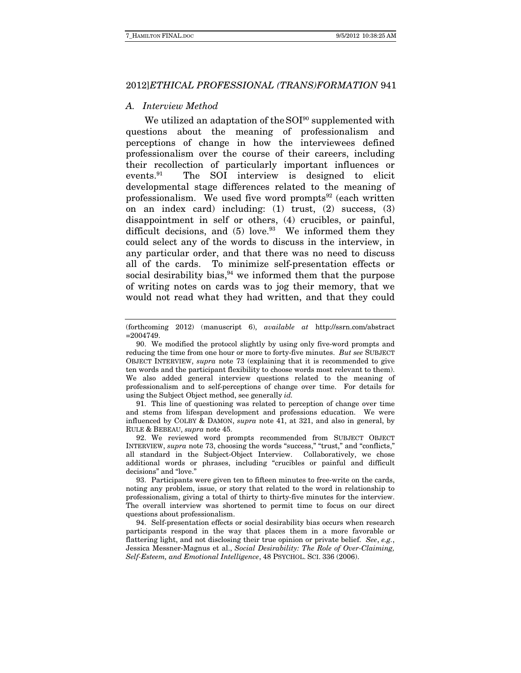#### A. Interview Method

We utilized an adaptation of the  $SOI<sup>90</sup>$  supplemented with questions about the meaning of professionalism and perceptions of change in how the interviewees defined professionalism over the course of their careers, including their recollection of particularly important influences or events.91 The SOI interview is designed to elicit developmental stage differences related to the meaning of professionalism. We used five word prompts $92$  (each written on an index card) including: (1) trust, (2) success, (3) disappointment in self or others, (4) crucibles, or painful, difficult decisions, and  $(5)$  love.<sup>93</sup> We informed them they could select any of the words to discuss in the interview, in any particular order, and that there was no need to discuss all of the cards. To minimize self-presentation effects or social desirability bias,  $94$  we informed them that the purpose of writing notes on cards was to jog their memory, that we would not read what they had written, and that they could

 91. This line of questioning was related to perception of change over time and stems from lifespan development and professions education. We were influenced by COLBY & DAMON, supra note 41, at 321, and also in general, by RULE & BEBEAU, supra note 45.

 92. We reviewed word prompts recommended from SUBJECT OBJECT INTERVIEW, supra note 73, choosing the words "success," "trust," and "conflicts," all standard in the Subject-Object Interview. Collaboratively, we chose additional words or phrases, including "crucibles or painful and difficult decisions" and "love."

 93. Participants were given ten to fifteen minutes to free-write on the cards, noting any problem, issue, or story that related to the word in relationship to professionalism, giving a total of thirty to thirty-five minutes for the interview. The overall interview was shortened to permit time to focus on our direct questions about professionalism.

 94. Self-presentation effects or social desirability bias occurs when research participants respond in the way that places them in a more favorable or flattering light, and not disclosing their true opinion or private belief. See, e.g., Jessica Messner-Magnus et al., Social Desirability: The Role of Over-Claiming, Self-Esteem, and Emotional Intelligence, 48 PSYCHOL. SCI. 336 (2006).

<sup>(</sup>forthcoming 2012) (manuscript 6), available at http://ssrn.com/abstract  $=2004749.$ 

 <sup>90.</sup> We modified the protocol slightly by using only five-word prompts and reducing the time from one hour or more to forty-five minutes. But see SUBJECT OBJECT INTERVIEW, supra note 73 (explaining that it is recommended to give ten words and the participant flexibility to choose words most relevant to them). We also added general interview questions related to the meaning of professionalism and to self-perceptions of change over time. For details for using the Subject Object method, see generally *id.*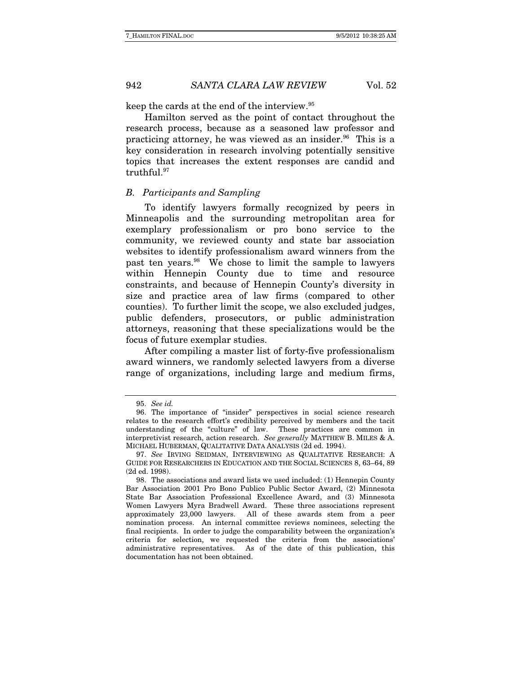keep the cards at the end of the interview.95

Hamilton served as the point of contact throughout the research process, because as a seasoned law professor and practicing attorney, he was viewed as an insider. $96$  This is a key consideration in research involving potentially sensitive topics that increases the extent responses are candid and truthful.97

#### B. Participants and Sampling

To identify lawyers formally recognized by peers in Minneapolis and the surrounding metropolitan area for exemplary professionalism or pro bono service to the community, we reviewed county and state bar association websites to identify professionalism award winners from the past ten years.98 We chose to limit the sample to lawyers within Hennepin County due to time and resource constraints, and because of Hennepin County's diversity in size and practice area of law firms (compared to other counties). To further limit the scope, we also excluded judges, public defenders, prosecutors, or public administration attorneys, reasoning that these specializations would be the focus of future exemplar studies.

After compiling a master list of forty-five professionalism award winners, we randomly selected lawyers from a diverse range of organizations, including large and medium firms,

 <sup>95.</sup> See id.

 <sup>96.</sup> The importance of "insider" perspectives in social science research relates to the research effort's credibility perceived by members and the tacit understanding of the "culture" of law. These practices are common in interpretivist research, action research. See generally MATTHEW B. MILES & A. MICHAEL HUBERMAN, QUALITATIVE DATA ANALYSIS (2d ed. 1994).

 <sup>97.</sup> See IRVING SEIDMAN, INTERVIEWING AS QUALITATIVE RESEARCH: A GUIDE FOR RESEARCHERS IN EDUCATION AND THE SOCIAL SCIENCES 8, 63–64, 89 (2d ed. 1998).

 <sup>98.</sup> The associations and award lists we used included: (1) Hennepin County Bar Association 2001 Pro Bono Publico Public Sector Award, (2) Minnesota State Bar Association Professional Excellence Award, and (3) Minnesota Women Lawyers Myra Bradwell Award. These three associations represent approximately 23,000 lawyers. All of these awards stem from a peer nomination process. An internal committee reviews nominees, selecting the final recipients. In order to judge the comparability between the organization's criteria for selection, we requested the criteria from the associations' administrative representatives. As of the date of this publication, this documentation has not been obtained.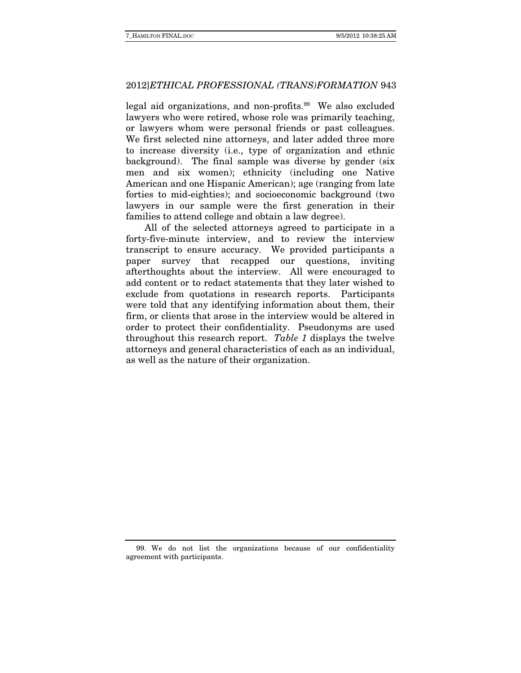legal aid organizations, and non-profits.<sup>99</sup> We also excluded lawyers who were retired, whose role was primarily teaching, or lawyers whom were personal friends or past colleagues. We first selected nine attorneys, and later added three more to increase diversity (i.e., type of organization and ethnic background). The final sample was diverse by gender (six men and six women); ethnicity (including one Native American and one Hispanic American); age (ranging from late forties to mid-eighties); and socioeconomic background (two lawyers in our sample were the first generation in their families to attend college and obtain a law degree).

All of the selected attorneys agreed to participate in a forty-five-minute interview, and to review the interview transcript to ensure accuracy. We provided participants a paper survey that recapped our questions, inviting afterthoughts about the interview. All were encouraged to add content or to redact statements that they later wished to exclude from quotations in research reports. Participants were told that any identifying information about them, their firm, or clients that arose in the interview would be altered in order to protect their confidentiality. Pseudonyms are used throughout this research report. Table 1 displays the twelve attorneys and general characteristics of each as an individual, as well as the nature of their organization.

 <sup>99.</sup> We do not list the organizations because of our confidentiality agreement with participants.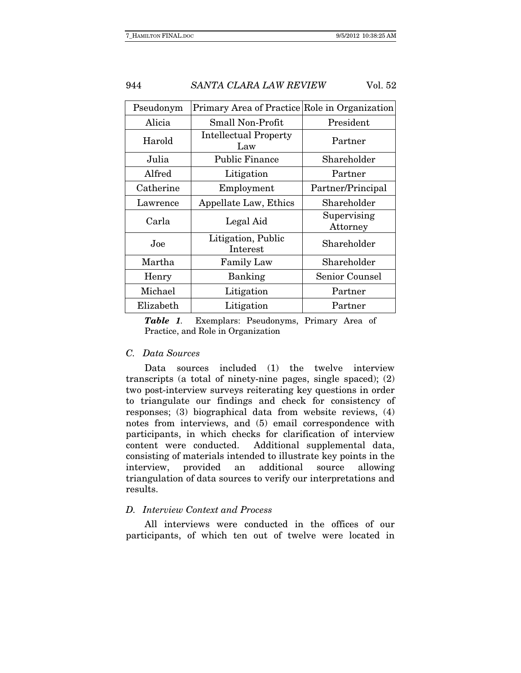| Pseudonym | Primary Area of Practice Role in Organization |                         |  |  |
|-----------|-----------------------------------------------|-------------------------|--|--|
| Alicia    | Small Non-Profit                              | President               |  |  |
| Harold    | <b>Intellectual Property</b><br>Law           | Partner                 |  |  |
| Julia     | <b>Public Finance</b>                         | Shareholder             |  |  |
| Alfred    | Litigation                                    | Partner                 |  |  |
| Catherine | Employment                                    | Partner/Principal       |  |  |
| Lawrence  | Appellate Law, Ethics                         | Shareholder             |  |  |
| Carla     | Legal Aid                                     | Supervising<br>Attorney |  |  |
| Joe       | Litigation, Public<br>Interest                | Shareholder             |  |  |
| Martha    | <b>Family Law</b>                             | Shareholder             |  |  |
| Henry     | Banking                                       | Senior Counsel          |  |  |
| Michael   | Litigation                                    | Partner                 |  |  |
| Elizabeth | Litigation                                    | Partner                 |  |  |

*Table 1*. Exemplars: Pseudonyms, Primary Area of Practice, and Role in Organization

#### C. Data Sources

Data sources included (1) the twelve interview transcripts (a total of ninety-nine pages, single spaced); (2) two post-interview surveys reiterating key questions in order to triangulate our findings and check for consistency of responses; (3) biographical data from website reviews, (4) notes from interviews, and (5) email correspondence with participants, in which checks for clarification of interview content were conducted. Additional supplemental data, consisting of materials intended to illustrate key points in the interview, provided an additional source allowing triangulation of data sources to verify our interpretations and results.

### D. Interview Context and Process

All interviews were conducted in the offices of our participants, of which ten out of twelve were located in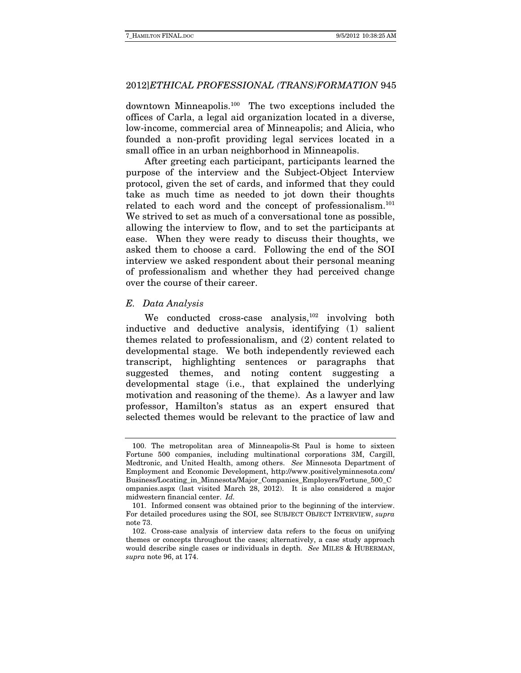downtown Minneapolis.100 The two exceptions included the offices of Carla, a legal aid organization located in a diverse, low-income, commercial area of Minneapolis; and Alicia, who founded a non-profit providing legal services located in a small office in an urban neighborhood in Minneapolis.

After greeting each participant, participants learned the purpose of the interview and the Subject-Object Interview protocol, given the set of cards, and informed that they could take as much time as needed to jot down their thoughts related to each word and the concept of professionalism.<sup>101</sup> We strived to set as much of a conversational tone as possible, allowing the interview to flow, and to set the participants at ease. When they were ready to discuss their thoughts, we asked them to choose a card. Following the end of the SOI interview we asked respondent about their personal meaning of professionalism and whether they had perceived change over the course of their career.

#### E. Data Analysis

We conducted cross-case analysis,<sup>102</sup> involving both inductive and deductive analysis, identifying (1) salient themes related to professionalism, and (2) content related to developmental stage. We both independently reviewed each transcript, highlighting sentences or paragraphs that suggested themes, and noting content suggesting a developmental stage (i.e., that explained the underlying motivation and reasoning of the theme). As a lawyer and law professor, Hamilton's status as an expert ensured that selected themes would be relevant to the practice of law and

 <sup>100.</sup> The metropolitan area of Minneapolis-St Paul is home to sixteen Fortune 500 companies, including multinational corporations 3M, Cargill, Medtronic, and United Health, among others. See Minnesota Department of Employment and Economic Development, http://www.positivelyminnesota.com/ Business/Locating\_in\_Minnesota/Major\_Companies\_Employers/Fortune\_500\_C ompanies.aspx (last visited March 28, 2012). It is also considered a major midwestern financial center. Id.

 <sup>101.</sup> Informed consent was obtained prior to the beginning of the interview. For detailed procedures using the SOI, see SUBJECT OBJECT INTERVIEW, supra note 73.

 <sup>102.</sup> Cross-case analysis of interview data refers to the focus on unifying themes or concepts throughout the cases; alternatively, a case study approach would describe single cases or individuals in depth. See MILES & HUBERMAN, supra note 96, at 174.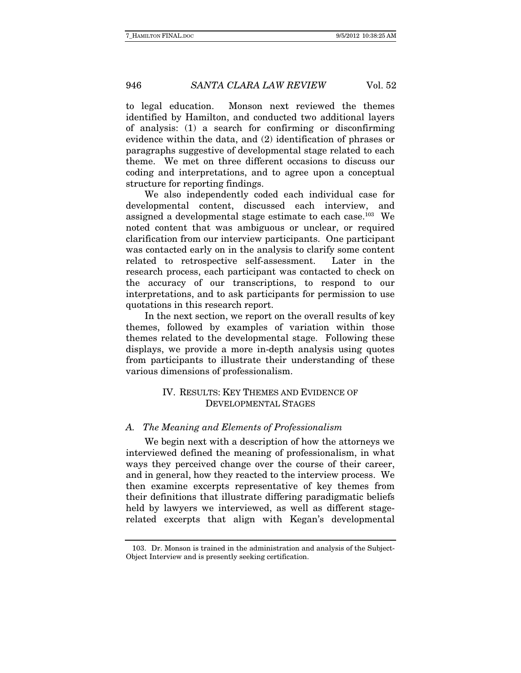to legal education. Monson next reviewed the themes identified by Hamilton, and conducted two additional layers of analysis: (1) a search for confirming or disconfirming evidence within the data, and (2) identification of phrases or paragraphs suggestive of developmental stage related to each theme. We met on three different occasions to discuss our coding and interpretations, and to agree upon a conceptual structure for reporting findings.

We also independently coded each individual case for developmental content, discussed each interview, and assigned a developmental stage estimate to each case.<sup>103</sup> We noted content that was ambiguous or unclear, or required clarification from our interview participants. One participant was contacted early on in the analysis to clarify some content related to retrospective self-assessment. Later in the research process, each participant was contacted to check on the accuracy of our transcriptions, to respond to our interpretations, and to ask participants for permission to use quotations in this research report.

In the next section, we report on the overall results of key themes, followed by examples of variation within those themes related to the developmental stage. Following these displays, we provide a more in-depth analysis using quotes from participants to illustrate their understanding of these various dimensions of professionalism.

# IV. RESULTS: KEY THEMES AND EVIDENCE OF DEVELOPMENTAL STAGES

#### A. The Meaning and Elements of Professionalism

We begin next with a description of how the attorneys we interviewed defined the meaning of professionalism, in what ways they perceived change over the course of their career, and in general, how they reacted to the interview process. We then examine excerpts representative of key themes from their definitions that illustrate differing paradigmatic beliefs held by lawyers we interviewed, as well as different stagerelated excerpts that align with Kegan's developmental

 <sup>103.</sup> Dr. Monson is trained in the administration and analysis of the Subject-Object Interview and is presently seeking certification.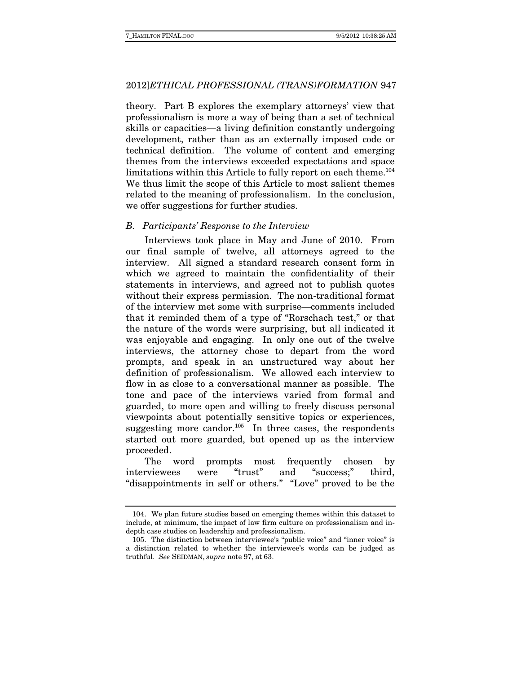theory. Part B explores the exemplary attorneys' view that professionalism is more a way of being than a set of technical skills or capacities—a living definition constantly undergoing development, rather than as an externally imposed code or technical definition. The volume of content and emerging themes from the interviews exceeded expectations and space limitations within this Article to fully report on each theme.<sup>104</sup> We thus limit the scope of this Article to most salient themes related to the meaning of professionalism. In the conclusion, we offer suggestions for further studies.

#### B. Participants' Response to the Interview

Interviews took place in May and June of 2010. From our final sample of twelve, all attorneys agreed to the interview. All signed a standard research consent form in which we agreed to maintain the confidentiality of their statements in interviews, and agreed not to publish quotes without their express permission. The non-traditional format of the interview met some with surprise—comments included that it reminded them of a type of "Rorschach test," or that the nature of the words were surprising, but all indicated it was enjoyable and engaging. In only one out of the twelve interviews, the attorney chose to depart from the word prompts, and speak in an unstructured way about her definition of professionalism. We allowed each interview to flow in as close to a conversational manner as possible. The tone and pace of the interviews varied from formal and guarded, to more open and willing to freely discuss personal viewpoints about potentially sensitive topics or experiences, suggesting more candor.<sup>105</sup> In three cases, the respondents started out more guarded, but opened up as the interview proceeded.

The word prompts most frequently chosen by interviewees were "trust" and "success;" third, "disappointments in self or others." "Love" proved to be the

 <sup>104.</sup> We plan future studies based on emerging themes within this dataset to include, at minimum, the impact of law firm culture on professionalism and indepth case studies on leadership and professionalism.

 <sup>105.</sup> The distinction between interviewee's "public voice" and "inner voice" is a distinction related to whether the interviewee's words can be judged as truthful. See SEIDMAN, supra note 97, at 63.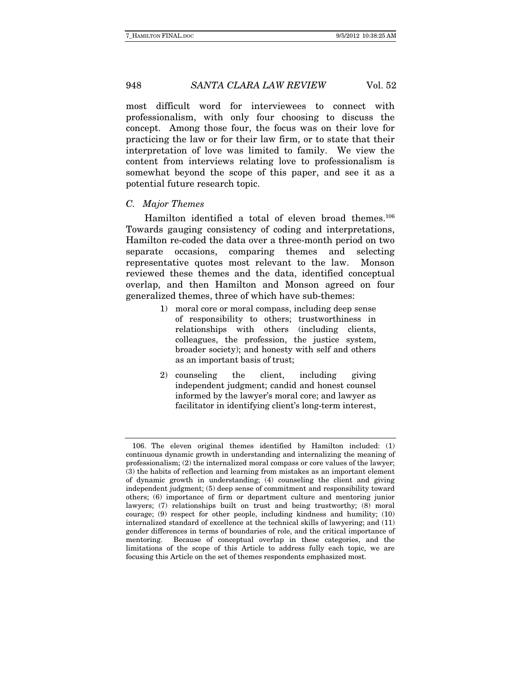most difficult word for interviewees to connect with professionalism, with only four choosing to discuss the concept. Among those four, the focus was on their love for practicing the law or for their law firm, or to state that their interpretation of love was limited to family. We view the content from interviews relating love to professionalism is somewhat beyond the scope of this paper, and see it as a potential future research topic.

#### C. Major Themes

Hamilton identified a total of eleven broad themes.<sup>106</sup> Towards gauging consistency of coding and interpretations, Hamilton re-coded the data over a three-month period on two separate occasions, comparing themes and selecting representative quotes most relevant to the law. Monson reviewed these themes and the data, identified conceptual overlap, and then Hamilton and Monson agreed on four generalized themes, three of which have sub-themes:

- 1) moral core or moral compass, including deep sense of responsibility to others; trustworthiness in relationships with others (including clients, colleagues, the profession, the justice system, broader society); and honesty with self and others as an important basis of trust;
- 2) counseling the client, including giving independent judgment; candid and honest counsel informed by the lawyer's moral core; and lawyer as facilitator in identifying client's long-term interest,

 <sup>106.</sup> The eleven original themes identified by Hamilton included: (1) continuous dynamic growth in understanding and internalizing the meaning of professionalism; (2) the internalized moral compass or core values of the lawyer; (3) the habits of reflection and learning from mistakes as an important element of dynamic growth in understanding; (4) counseling the client and giving independent judgment; (5) deep sense of commitment and responsibility toward others; (6) importance of firm or department culture and mentoring junior lawyers; (7) relationships built on trust and being trustworthy; (8) moral courage; (9) respect for other people, including kindness and humility; (10) internalized standard of excellence at the technical skills of lawyering; and (11) gender differences in terms of boundaries of role, and the critical importance of mentoring. Because of conceptual overlap in these categories, and the limitations of the scope of this Article to address fully each topic, we are focusing this Article on the set of themes respondents emphasized most.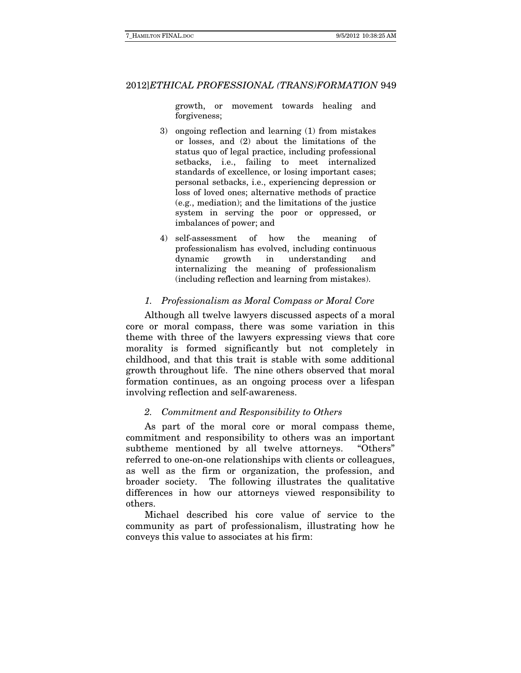growth, or movement towards healing and forgiveness;

- 3) ongoing reflection and learning (1) from mistakes or losses, and (2) about the limitations of the status quo of legal practice, including professional setbacks, i.e., failing to meet internalized standards of excellence, or losing important cases; personal setbacks, i.e., experiencing depression or loss of loved ones; alternative methods of practice (e.g., mediation); and the limitations of the justice system in serving the poor or oppressed, or imbalances of power; and
- 4) self-assessment of how the meaning of professionalism has evolved, including continuous dynamic growth in understanding and internalizing the meaning of professionalism (including reflection and learning from mistakes).

#### 1. Professionalism as Moral Compass or Moral Core

Although all twelve lawyers discussed aspects of a moral core or moral compass, there was some variation in this theme with three of the lawyers expressing views that core morality is formed significantly but not completely in childhood, and that this trait is stable with some additional growth throughout life. The nine others observed that moral formation continues, as an ongoing process over a lifespan involving reflection and self-awareness.

#### 2. Commitment and Responsibility to Others

As part of the moral core or moral compass theme, commitment and responsibility to others was an important subtheme mentioned by all twelve attorneys. "Others" referred to one-on-one relationships with clients or colleagues, as well as the firm or organization, the profession, and broader society. The following illustrates the qualitative differences in how our attorneys viewed responsibility to others.

Michael described his core value of service to the community as part of professionalism, illustrating how he conveys this value to associates at his firm: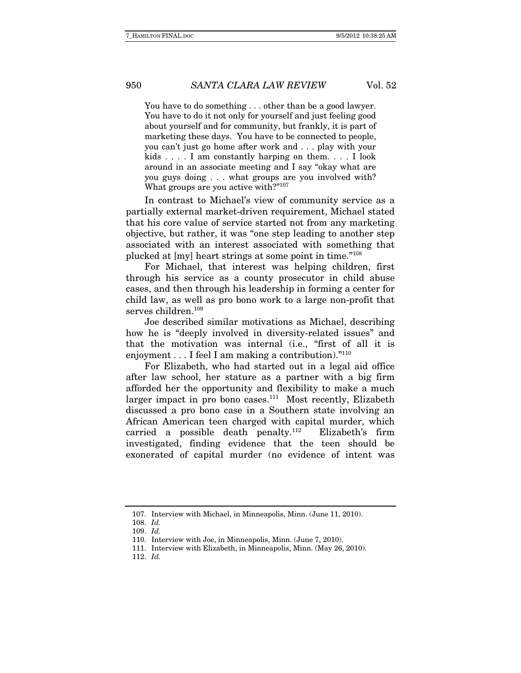You have to do something . . . other than be a good lawyer. You have to do it not only for yourself and just feeling good about yourself and for community, but frankly, it is part of marketing these days. You have to be connected to people, you can't just go home after work and . . . play with your kids . . . . I am constantly harping on them. . . . I look around in an associate meeting and I say "okay what are you guys doing . . . what groups are you involved with? What groups are you active with?"<sup>107</sup>

In contrast to Michael's view of community service as a partially external market-driven requirement, Michael stated that his core value of service started not from any marketing objective, but rather, it was "one step leading to another step associated with an interest associated with something that plucked at [my] heart strings at some point in time."108

For Michael, that interest was helping children, first through his service as a county prosecutor in child abuse cases, and then through his leadership in forming a center for child law, as well as pro bono work to a large non-profit that serves children.<sup>109</sup>

Joe described similar motivations as Michael, describing how he is "deeply involved in diversity-related issues" and that the motivation was internal (i.e., "first of all it is enjoyment . . . I feel I am making a contribution)."<sup>110</sup>

For Elizabeth, who had started out in a legal aid office after law school, her stature as a partner with a big firm afforded her the opportunity and flexibility to make a much larger impact in pro bono cases. $111$  Most recently, Elizabeth discussed a pro bono case in a Southern state involving an African American teen charged with capital murder, which carried a possible death penalty.112 Elizabeth's firm investigated, finding evidence that the teen should be exonerated of capital murder (no evidence of intent was

 <sup>107.</sup> Interview with Michael, in Minneapolis, Minn. (June 11, 2010).

 <sup>108.</sup> Id.

 <sup>109.</sup> Id.

 <sup>110.</sup> Interview with Joe, in Minneapolis, Minn. (June 7, 2010).

 <sup>111.</sup> Interview with Elizabeth, in Minneapolis, Minn. (May 26, 2010).

 <sup>112.</sup> Id.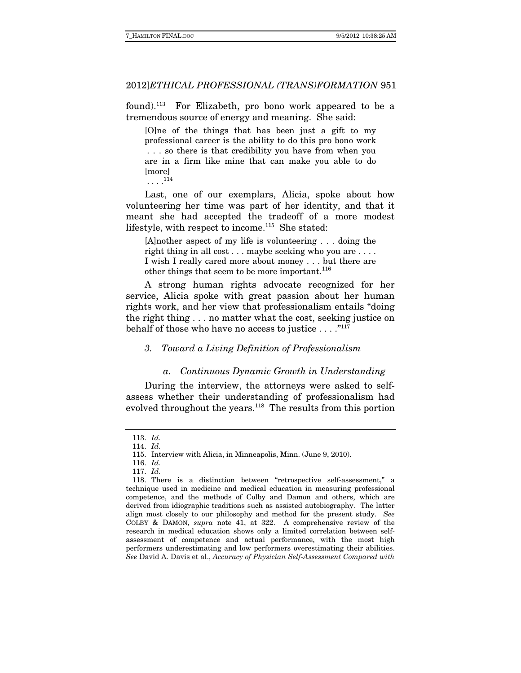found).113 For Elizabeth, pro bono work appeared to be a tremendous source of energy and meaning. She said:

[O]ne of the things that has been just a gift to my professional career is the ability to do this pro bono work . . . so there is that credibility you have from when you are in a firm like mine that can make you able to do [more]

. . . .<sup>114</sup>

Last, one of our exemplars, Alicia, spoke about how volunteering her time was part of her identity, and that it meant she had accepted the tradeoff of a more modest lifestyle, with respect to income.<sup>115</sup> She stated:

[A]nother aspect of my life is volunteering . . . doing the right thing in all cost . . . maybe seeking who you are . . . . I wish I really cared more about money . . . but there are other things that seem to be more important.<sup>116</sup>

A strong human rights advocate recognized for her service, Alicia spoke with great passion about her human rights work, and her view that professionalism entails "doing the right thing . . . no matter what the cost, seeking justice on behalf of those who have no access to justice  $\dots$ ."<sup>117</sup>

#### 3. Toward a Living Definition of Professionalism

#### a. Continuous Dynamic Growth in Understanding

During the interview, the attorneys were asked to selfassess whether their understanding of professionalism had evolved throughout the years.<sup>118</sup> The results from this portion

 <sup>113.</sup> Id.

 <sup>114.</sup> Id.

 <sup>115.</sup> Interview with Alicia, in Minneapolis, Minn. (June 9, 2010).

 <sup>116.</sup> Id.

 <sup>117.</sup> Id.

 <sup>118.</sup> There is a distinction between "retrospective self-assessment," a technique used in medicine and medical education in measuring professional competence, and the methods of Colby and Damon and others, which are derived from idiographic traditions such as assisted autobiography. The latter align most closely to our philosophy and method for the present study. See COLBY & DAMON, supra note 41, at 322. A comprehensive review of the research in medical education shows only a limited correlation between selfassessment of competence and actual performance, with the most high performers underestimating and low performers overestimating their abilities. See David A. Davis et al., Accuracy of Physician Self-Assessment Compared with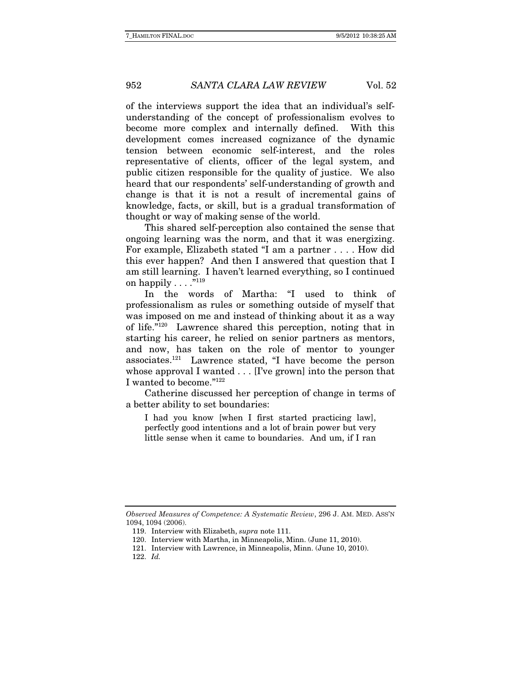of the interviews support the idea that an individual's selfunderstanding of the concept of professionalism evolves to become more complex and internally defined. With this development comes increased cognizance of the dynamic tension between economic self-interest, and the roles representative of clients, officer of the legal system, and public citizen responsible for the quality of justice. We also heard that our respondents' self-understanding of growth and change is that it is not a result of incremental gains of knowledge, facts, or skill, but is a gradual transformation of thought or way of making sense of the world.

 This shared self-perception also contained the sense that ongoing learning was the norm, and that it was energizing. For example, Elizabeth stated "I am a partner . . . . How did this ever happen? And then I answered that question that I am still learning. I haven't learned everything, so I continued on happily  $\dots$ ."<sup>119</sup>

In the words of Martha: "I used to think of professionalism as rules or something outside of myself that was imposed on me and instead of thinking about it as a way of life."120 Lawrence shared this perception, noting that in starting his career, he relied on senior partners as mentors, and now, has taken on the role of mentor to younger associates.121 Lawrence stated, "I have become the person whose approval I wanted . . . [I've grown] into the person that I wanted to become."122

Catherine discussed her perception of change in terms of a better ability to set boundaries:

I had you know [when I first started practicing law], perfectly good intentions and a lot of brain power but very little sense when it came to boundaries. And um, if I ran

Observed Measures of Competence: A Systematic Review, 296 J. AM. MED. ASS'N 1094, 1094 (2006).

 <sup>119.</sup> Interview with Elizabeth, supra note 111.

 <sup>120.</sup> Interview with Martha, in Minneapolis, Minn. (June 11, 2010).

 <sup>121.</sup> Interview with Lawrence, in Minneapolis, Minn. (June 10, 2010).

 <sup>122.</sup> Id.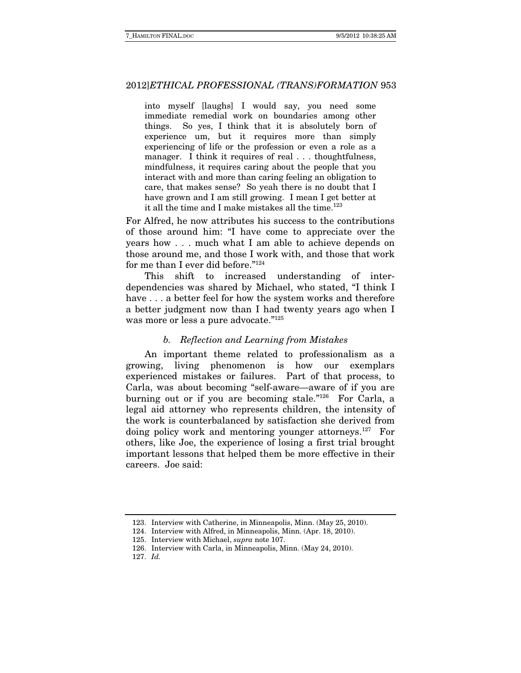into myself [laughs] I would say, you need some immediate remedial work on boundaries among other things. So yes, I think that it is absolutely born of experience um, but it requires more than simply experiencing of life or the profession or even a role as a manager. I think it requires of real ... thoughtfulness, mindfulness, it requires caring about the people that you interact with and more than caring feeling an obligation to care, that makes sense? So yeah there is no doubt that I have grown and I am still growing. I mean I get better at it all the time and I make mistakes all the time. $123$ 

For Alfred, he now attributes his success to the contributions of those around him: "I have come to appreciate over the years how . . . much what I am able to achieve depends on those around me, and those I work with, and those that work for me than I ever did before."124

This shift to increased understanding of interdependencies was shared by Michael, who stated, "I think I have . . . a better feel for how the system works and therefore a better judgment now than I had twenty years ago when I was more or less a pure advocate."<sup>125</sup>

#### b. Reflection and Learning from Mistakes

An important theme related to professionalism as a growing, living phenomenon is how our exemplars experienced mistakes or failures. Part of that process, to Carla, was about becoming "self-aware—aware of if you are burning out or if you are becoming stale."126 For Carla, a legal aid attorney who represents children, the intensity of the work is counterbalanced by satisfaction she derived from doing policy work and mentoring younger attorneys.127 For others, like Joe, the experience of losing a first trial brought important lessons that helped them be more effective in their careers. Joe said:

 <sup>123.</sup> Interview with Catherine, in Minneapolis, Minn. (May 25, 2010).

 <sup>124.</sup> Interview with Alfred, in Minneapolis, Minn. (Apr. 18, 2010).

 <sup>125.</sup> Interview with Michael, supra note 107.

 <sup>126.</sup> Interview with Carla, in Minneapolis, Minn. (May 24, 2010).

 <sup>127.</sup> Id.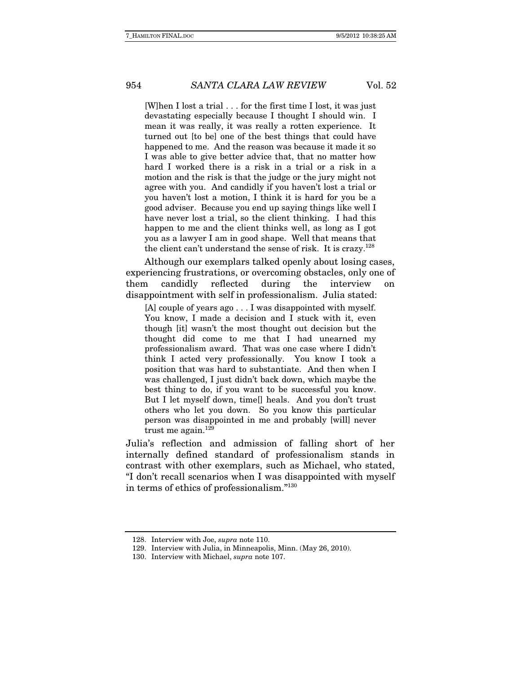[W]hen I lost a trial . . . for the first time I lost, it was just devastating especially because I thought I should win. I mean it was really, it was really a rotten experience. It turned out [to be] one of the best things that could have happened to me. And the reason was because it made it so I was able to give better advice that, that no matter how hard I worked there is a risk in a trial or a risk in a motion and the risk is that the judge or the jury might not agree with you. And candidly if you haven't lost a trial or you haven't lost a motion, I think it is hard for you be a good adviser. Because you end up saying things like well I have never lost a trial, so the client thinking. I had this happen to me and the client thinks well, as long as I got you as a lawyer I am in good shape. Well that means that the client can't understand the sense of risk. It is crazy.<sup>128</sup>

Although our exemplars talked openly about losing cases, experiencing frustrations, or overcoming obstacles, only one of them candidly reflected during the interview on disappointment with self in professionalism. Julia stated:

[A] couple of years ago . . . I was disappointed with myself. You know, I made a decision and I stuck with it, even though [it] wasn't the most thought out decision but the thought did come to me that I had unearned my professionalism award. That was one case where I didn't think I acted very professionally. You know I took a position that was hard to substantiate. And then when I was challenged, I just didn't back down, which maybe the best thing to do, if you want to be successful you know. But I let myself down, time[] heals. And you don't trust others who let you down. So you know this particular person was disappointed in me and probably [will] never trust me again. $129$ 

Julia's reflection and admission of falling short of her internally defined standard of professionalism stands in contrast with other exemplars, such as Michael, who stated, "I don't recall scenarios when I was disappointed with myself in terms of ethics of professionalism."130

 <sup>128.</sup> Interview with Joe, supra note 110.

 <sup>129.</sup> Interview with Julia, in Minneapolis, Minn. (May 26, 2010).

 <sup>130.</sup> Interview with Michael, supra note 107.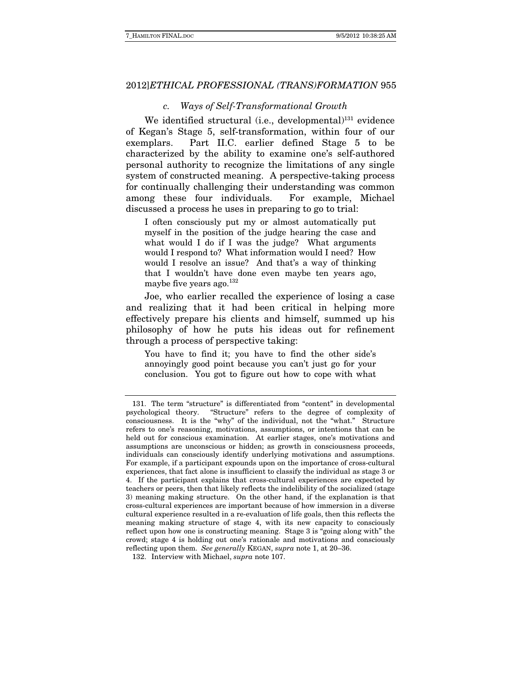#### c. Ways of Self-Transformational Growth

We identified structural (i.e., developmental) $^{131}$  evidence of Kegan's Stage 5, self-transformation, within four of our exemplars. Part II.C. earlier defined Stage 5 to be characterized by the ability to examine one's self-authored personal authority to recognize the limitations of any single system of constructed meaning. A perspective-taking process for continually challenging their understanding was common among these four individuals. For example, Michael discussed a process he uses in preparing to go to trial:

I often consciously put my or almost automatically put myself in the position of the judge hearing the case and what would I do if I was the judge? What arguments would I respond to? What information would I need? How would I resolve an issue? And that's a way of thinking that I wouldn't have done even maybe ten years ago, maybe five years ago. $132$ 

Joe, who earlier recalled the experience of losing a case and realizing that it had been critical in helping more effectively prepare his clients and himself, summed up his philosophy of how he puts his ideas out for refinement through a process of perspective taking:

You have to find it; you have to find the other side's annoyingly good point because you can't just go for your conclusion. You got to figure out how to cope with what

 <sup>131.</sup> The term "structure" is differentiated from "content" in developmental psychological theory. "Structure" refers to the degree of complexity of consciousness. It is the "why" of the individual, not the "what." Structure refers to one's reasoning, motivations, assumptions, or intentions that can be held out for conscious examination. At earlier stages, one's motivations and assumptions are unconscious or hidden; as growth in consciousness proceeds, individuals can consciously identify underlying motivations and assumptions. For example, if a participant expounds upon on the importance of cross-cultural experiences, that fact alone is insufficient to classify the individual as stage 3 or 4. If the participant explains that cross-cultural experiences are expected by teachers or peers, then that likely reflects the indelibility of the socialized (stage 3) meaning making structure. On the other hand, if the explanation is that cross-cultural experiences are important because of how immersion in a diverse cultural experience resulted in a re-evaluation of life goals, then this reflects the meaning making structure of stage 4, with its new capacity to consciously reflect upon how one is constructing meaning. Stage 3 is "going along with" the crowd; stage 4 is holding out one's rationale and motivations and consciously reflecting upon them. See generally KEGAN, supra note 1, at 20–36.

 <sup>132.</sup> Interview with Michael, supra note 107.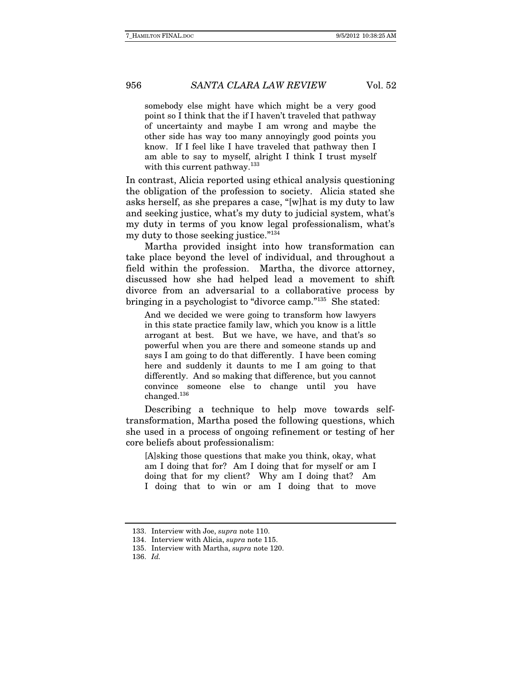somebody else might have which might be a very good point so I think that the if I haven't traveled that pathway of uncertainty and maybe I am wrong and maybe the other side has way too many annoyingly good points you know. If I feel like I have traveled that pathway then I am able to say to myself, alright I think I trust myself with this current pathway.<sup>133</sup>

In contrast, Alicia reported using ethical analysis questioning the obligation of the profession to society. Alicia stated she asks herself, as she prepares a case, "[w]hat is my duty to law and seeking justice, what's my duty to judicial system, what's my duty in terms of you know legal professionalism, what's my duty to those seeking justice."134

Martha provided insight into how transformation can take place beyond the level of individual, and throughout a field within the profession. Martha, the divorce attorney, discussed how she had helped lead a movement to shift divorce from an adversarial to a collaborative process by bringing in a psychologist to "divorce camp."135 She stated:

And we decided we were going to transform how lawyers in this state practice family law, which you know is a little arrogant at best. But we have, we have, and that's so powerful when you are there and someone stands up and says I am going to do that differently. I have been coming here and suddenly it daunts to me I am going to that differently. And so making that difference, but you cannot convince someone else to change until you have changed.136

Describing a technique to help move towards selftransformation, Martha posed the following questions, which she used in a process of ongoing refinement or testing of her core beliefs about professionalism:

[A]sking those questions that make you think, okay, what am I doing that for? Am I doing that for myself or am I doing that for my client? Why am I doing that? Am I doing that to win or am I doing that to move

 <sup>133.</sup> Interview with Joe, supra note 110.

<sup>134.</sup> Interview with Alicia, *supra* note 115.

 <sup>135.</sup> Interview with Martha, supra note 120.

 <sup>136.</sup> Id.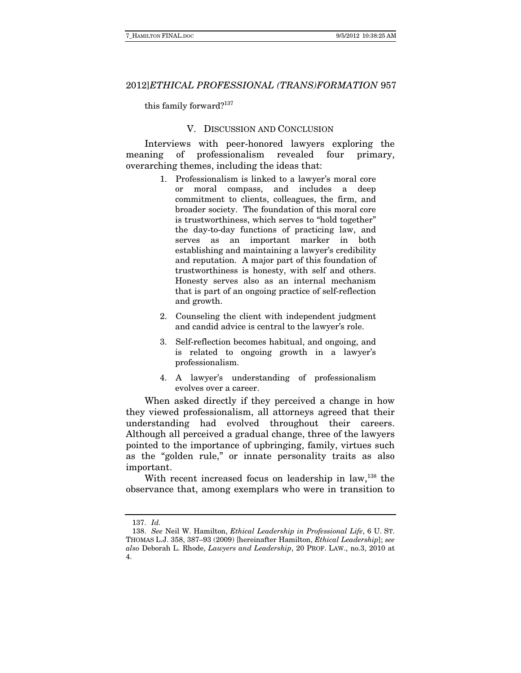this family forward?137

#### V. DISCUSSION AND CONCLUSION

Interviews with peer-honored lawyers exploring the meaning of professionalism revealed four primary, overarching themes, including the ideas that:

- 1. Professionalism is linked to a lawyer's moral core or moral compass, and includes a deep commitment to clients, colleagues, the firm, and broader society. The foundation of this moral core is trustworthiness, which serves to "hold together" the day-to-day functions of practicing law, and serves as an important marker in both establishing and maintaining a lawyer's credibility and reputation. A major part of this foundation of trustworthiness is honesty, with self and others. Honesty serves also as an internal mechanism that is part of an ongoing practice of self-reflection and growth.
- 2. Counseling the client with independent judgment and candid advice is central to the lawyer's role.
- 3. Self-reflection becomes habitual, and ongoing, and is related to ongoing growth in a lawyer's professionalism.
- 4. A lawyer's understanding of professionalism evolves over a career.

When asked directly if they perceived a change in how they viewed professionalism, all attorneys agreed that their understanding had evolved throughout their careers. Although all perceived a gradual change, three of the lawyers pointed to the importance of upbringing, family, virtues such as the "golden rule," or innate personality traits as also important.

With recent increased focus on leadership in law,<sup>138</sup> the observance that, among exemplars who were in transition to

 <sup>137.</sup> Id.

 <sup>138.</sup> See Neil W. Hamilton, Ethical Leadership in Professional Life, 6 U. ST. THOMAS L.J. 358, 387–93 (2009) [hereinafter Hamilton, Ethical Leadership]; see also Deborah L. Rhode, Lawyers and Leadership, 20 PROF. LAW., no.3, 2010 at 4.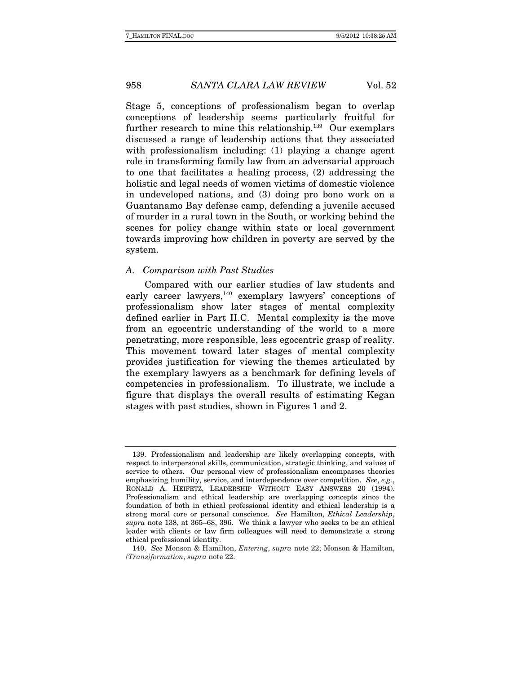Stage 5, conceptions of professionalism began to overlap conceptions of leadership seems particularly fruitful for further research to mine this relationship.<sup>139</sup> Our exemplars discussed a range of leadership actions that they associated with professionalism including: (1) playing a change agent role in transforming family law from an adversarial approach to one that facilitates a healing process, (2) addressing the holistic and legal needs of women victims of domestic violence in undeveloped nations, and (3) doing pro bono work on a Guantanamo Bay defense camp, defending a juvenile accused of murder in a rural town in the South, or working behind the scenes for policy change within state or local government towards improving how children in poverty are served by the system.

#### A. Comparison with Past Studies

Compared with our earlier studies of law students and early career lawyers, $140$  exemplary lawyers' conceptions of professionalism show later stages of mental complexity defined earlier in Part II.C. Mental complexity is the move from an egocentric understanding of the world to a more penetrating, more responsible, less egocentric grasp of reality. This movement toward later stages of mental complexity provides justification for viewing the themes articulated by the exemplary lawyers as a benchmark for defining levels of competencies in professionalism. To illustrate, we include a figure that displays the overall results of estimating Kegan stages with past studies, shown in Figures 1 and 2.

 <sup>139.</sup> Professionalism and leadership are likely overlapping concepts, with respect to interpersonal skills, communication, strategic thinking, and values of service to others. Our personal view of professionalism encompasses theories emphasizing humility, service, and interdependence over competition. See,  $e.g.,$ RONALD A. HEIFETZ, LEADERSHIP WITHOUT EASY ANSWERS 20 (1994). Professionalism and ethical leadership are overlapping concepts since the foundation of both in ethical professional identity and ethical leadership is a strong moral core or personal conscience. See Hamilton, Ethical Leadership, supra note 138, at 365–68, 396. We think a lawyer who seeks to be an ethical leader with clients or law firm colleagues will need to demonstrate a strong ethical professional identity.

 <sup>140.</sup> See Monson & Hamilton, Entering, supra note 22; Monson & Hamilton, (Trans)formation, supra note 22.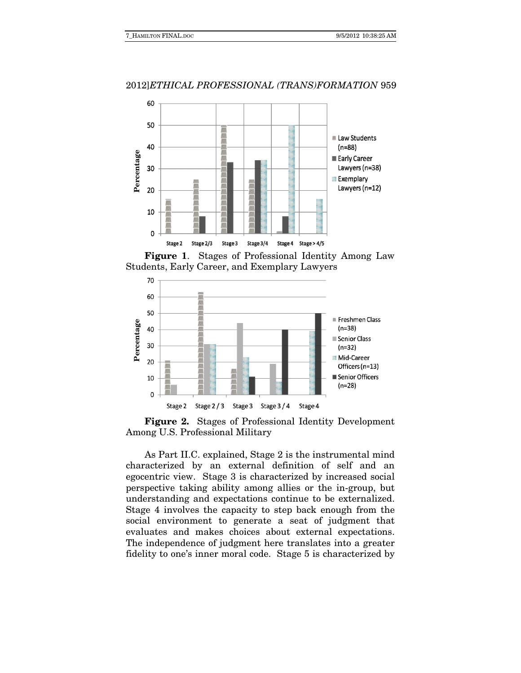

**Figure 1**. Stages of Professional Identity Among Law Students, Early Career, and Exemplary Lawyers



**Figure 2.** Stages of Professional Identity Development Among U.S. Professional Military

As Part II.C. explained, Stage 2 is the instrumental mind characterized by an external definition of self and an egocentric view. Stage 3 is characterized by increased social perspective taking ability among allies or the in-group, but understanding and expectations continue to be externalized. Stage 4 involves the capacity to step back enough from the social environment to generate a seat of judgment that evaluates and makes choices about external expectations. The independence of judgment here translates into a greater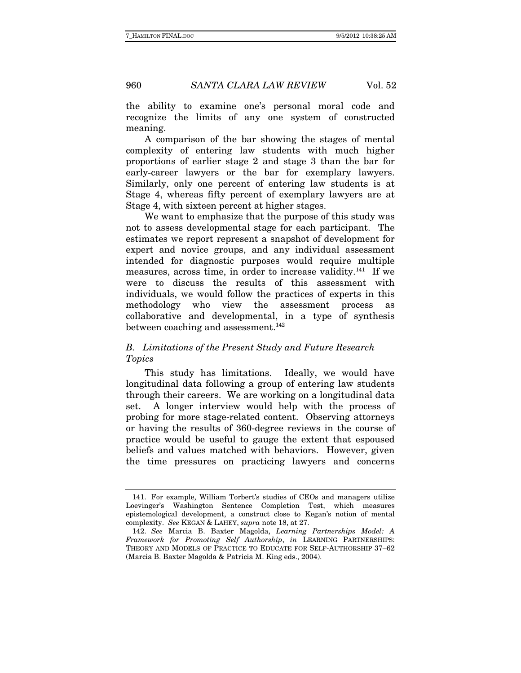the ability to examine one's personal moral code and recognize the limits of any one system of constructed meaning.

A comparison of the bar showing the stages of mental complexity of entering law students with much higher proportions of earlier stage 2 and stage 3 than the bar for early-career lawyers or the bar for exemplary lawyers. Similarly, only one percent of entering law students is at Stage 4, whereas fifty percent of exemplary lawyers are at Stage 4, with sixteen percent at higher stages.

We want to emphasize that the purpose of this study was not to assess developmental stage for each participant. The estimates we report represent a snapshot of development for expert and novice groups, and any individual assessment intended for diagnostic purposes would require multiple measures, across time, in order to increase validity.<sup>141</sup> If we were to discuss the results of this assessment with individuals, we would follow the practices of experts in this methodology who view the assessment process as collaborative and developmental, in a type of synthesis between coaching and assessment.<sup>142</sup>

# B. Limitations of the Present Study and Future Research Topics

This study has limitations. Ideally, we would have longitudinal data following a group of entering law students through their careers. We are working on a longitudinal data set. A longer interview would help with the process of probing for more stage-related content. Observing attorneys or having the results of 360-degree reviews in the course of practice would be useful to gauge the extent that espoused beliefs and values matched with behaviors. However, given the time pressures on practicing lawyers and concerns

 <sup>141.</sup> For example, William Torbert's studies of CEOs and managers utilize Loevinger's Washington Sentence Completion Test, which measures epistemological development, a construct close to Kegan's notion of mental complexity. See KEGAN & LAHEY, supra note 18, at 27.

 <sup>142.</sup> See Marcia B. Baxter Magolda, Learning Partnerships Model: A Framework for Promoting Self Authorship, in LEARNING PARTNERSHIPS: THEORY AND MODELS OF PRACTICE TO EDUCATE FOR SELF-AUTHORSHIP 37–62 (Marcia B. Baxter Magolda & Patricia M. King eds., 2004).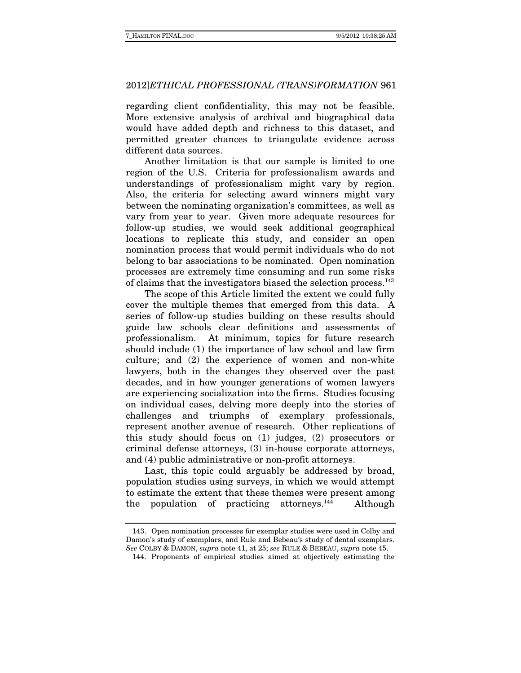regarding client confidentiality, this may not be feasible. More extensive analysis of archival and biographical data would have added depth and richness to this dataset, and permitted greater chances to triangulate evidence across different data sources.

Another limitation is that our sample is limited to one region of the U.S. Criteria for professionalism awards and understandings of professionalism might vary by region. Also, the criteria for selecting award winners might vary between the nominating organization's committees, as well as vary from year to year. Given more adequate resources for follow-up studies, we would seek additional geographical locations to replicate this study, and consider an open nomination process that would permit individuals who do not belong to bar associations to be nominated. Open nomination processes are extremely time consuming and run some risks of claims that the investigators biased the selection process.143

The scope of this Article limited the extent we could fully cover the multiple themes that emerged from this data. A series of follow-up studies building on these results should guide law schools clear definitions and assessments of professionalism. At minimum, topics for future research should include (1) the importance of law school and law firm culture; and (2) the experience of women and non-white lawyers, both in the changes they observed over the past decades, and in how younger generations of women lawyers are experiencing socialization into the firms. Studies focusing on individual cases, delving more deeply into the stories of challenges and triumphs of exemplary professionals, represent another avenue of research. Other replications of this study should focus on (1) judges, (2) prosecutors or criminal defense attorneys, (3) in-house corporate attorneys, and (4) public administrative or non-profit attorneys.

Last, this topic could arguably be addressed by broad, population studies using surveys, in which we would attempt to estimate the extent that these themes were present among the population of practicing attorneys.<sup>144</sup> Although

 <sup>143.</sup> Open nomination processes for exemplar studies were used in Colby and Damon's study of exemplars, and Rule and Bebeau's study of dental exemplars. See COLBY & DAMON, supra note 41, at 25; see RULE & BEBEAU, supra note 45.

 <sup>144.</sup> Proponents of empirical studies aimed at objectively estimating the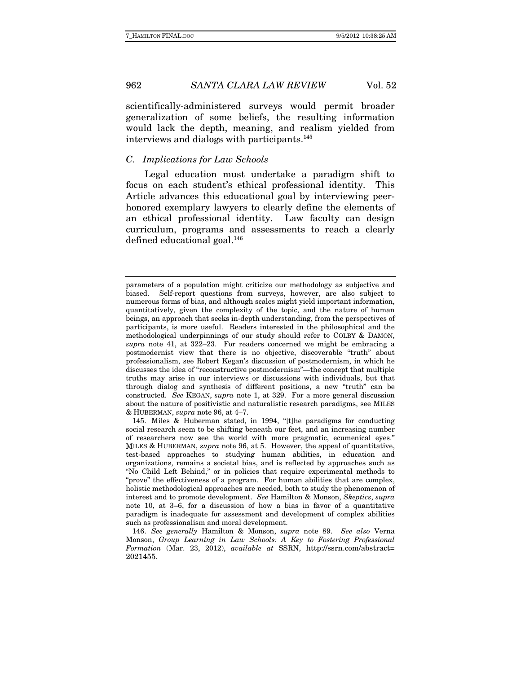scientifically-administered surveys would permit broader generalization of some beliefs, the resulting information would lack the depth, meaning, and realism yielded from interviews and dialogs with participants.<sup>145</sup>

# C. Implications for Law Schools

Legal education must undertake a paradigm shift to focus on each student's ethical professional identity. This Article advances this educational goal by interviewing peerhonored exemplary lawyers to clearly define the elements of an ethical professional identity. Law faculty can design curriculum, programs and assessments to reach a clearly defined educational goal.146

parameters of a population might criticize our methodology as subjective and biased. Self-report questions from surveys, however, are also subject to numerous forms of bias, and although scales might yield important information, quantitatively, given the complexity of the topic, and the nature of human beings, an approach that seeks in-depth understanding, from the perspectives of participants, is more useful. Readers interested in the philosophical and the methodological underpinnings of our study should refer to COLBY & DAMON, supra note 41, at 322–23. For readers concerned we might be embracing a postmodernist view that there is no objective, discoverable "truth" about professionalism, see Robert Kegan's discussion of postmodernism, in which he discusses the idea of "reconstructive postmodernism"—the concept that multiple truths may arise in our interviews or discussions with individuals, but that through dialog and synthesis of different positions, a new "truth" can be constructed. See KEGAN, supra note 1, at 329. For a more general discussion about the nature of positivistic and naturalistic research paradigms, see MILES & HUBERMAN, supra note 96, at 4–7.

 <sup>145.</sup> Miles & Huberman stated, in 1994, "[t]he paradigms for conducting social research seem to be shifting beneath our feet, and an increasing number of researchers now see the world with more pragmatic, ecumenical eyes." MILES & HUBERMAN, supra note 96, at 5. However, the appeal of quantitative, test-based approaches to studying human abilities, in education and organizations, remains a societal bias, and is reflected by approaches such as "No Child Left Behind," or in policies that require experimental methods to "prove" the effectiveness of a program. For human abilities that are complex, holistic methodological approaches are needed, both to study the phenomenon of interest and to promote development. See Hamilton & Monson, Skeptics, supra note 10, at 3–6, for a discussion of how a bias in favor of a quantitative paradigm is inadequate for assessment and development of complex abilities such as professionalism and moral development.

 <sup>146.</sup> See generally Hamilton & Monson, supra note 89. See also Verna Monson, Group Learning in Law Schools: A Key to Fostering Professional Formation (Mar. 23, 2012), available at SSRN, http://ssrn.com/abstract= 2021455.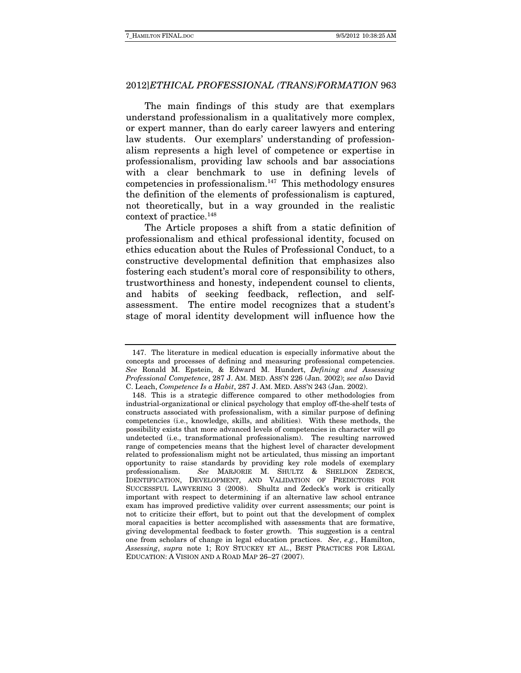The main findings of this study are that exemplars understand professionalism in a qualitatively more complex, or expert manner, than do early career lawyers and entering law students. Our exemplars' understanding of professionalism represents a high level of competence or expertise in professionalism, providing law schools and bar associations with a clear benchmark to use in defining levels of competencies in professionalism. $147$  This methodology ensures the definition of the elements of professionalism is captured, not theoretically, but in a way grounded in the realistic context of practice.148

The Article proposes a shift from a static definition of professionalism and ethical professional identity, focused on ethics education about the Rules of Professional Conduct, to a constructive developmental definition that emphasizes also fostering each student's moral core of responsibility to others, trustworthiness and honesty, independent counsel to clients, and habits of seeking feedback, reflection, and selfassessment. The entire model recognizes that a student's stage of moral identity development will influence how the

 <sup>147.</sup> The literature in medical education is especially informative about the concepts and processes of defining and measuring professional competencies. See Ronald M. Epstein, & Edward M. Hundert, Defining and Assessing Professional Competence, 287 J. AM. MED. ASS'N 226 (Jan. 2002); see also David C. Leach, Competence Is a Habit, 287 J. AM. MED. ASS'N 243 (Jan. 2002).

 <sup>148.</sup> This is a strategic difference compared to other methodologies from industrial-organizational or clinical psychology that employ off-the-shelf tests of constructs associated with professionalism, with a similar purpose of defining competencies (i.e., knowledge, skills, and abilities). With these methods, the possibility exists that more advanced levels of competencies in character will go undetected (i.e., transformational professionalism). The resulting narrowed range of competencies means that the highest level of character development related to professionalism might not be articulated, thus missing an important opportunity to raise standards by providing key role models of exemplary professionalism. See MARJORIE M. SHULTZ & SHELDON ZEDECK, See MARJORIE M. SHULTZ & SHELDON ZEDECK, IDENTIFICATION, DEVELOPMENT, AND VALIDATION OF PREDICTORS FOR SUCCESSFUL LAWYERING 3 (2008). Shultz and Zedeck's work is critically important with respect to determining if an alternative law school entrance exam has improved predictive validity over current assessments; our point is not to criticize their effort, but to point out that the development of complex moral capacities is better accomplished with assessments that are formative, giving developmental feedback to foster growth. This suggestion is a central one from scholars of change in legal education practices. See, e.g., Hamilton, Assessing, supra note 1; ROY STUCKEY ET AL., BEST PRACTICES FOR LEGAL EDUCATION: A VISION AND A ROAD MAP 26–27 (2007).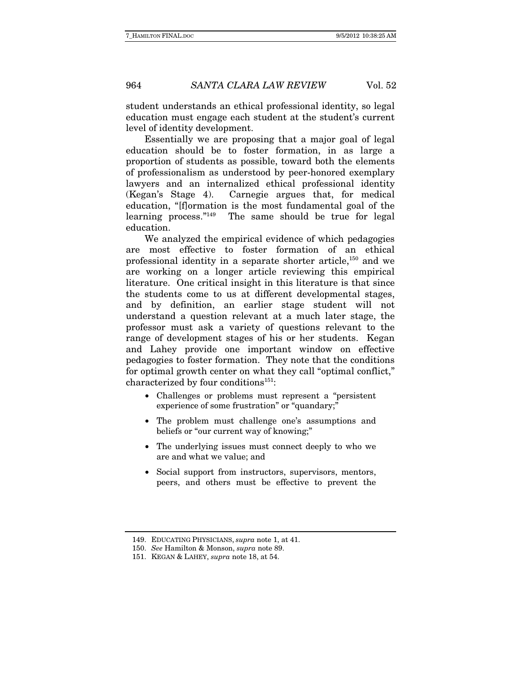student understands an ethical professional identity, so legal education must engage each student at the student's current level of identity development.

Essentially we are proposing that a major goal of legal education should be to foster formation, in as large a proportion of students as possible, toward both the elements of professionalism as understood by peer-honored exemplary lawyers and an internalized ethical professional identity (Kegan's Stage 4). Carnegie argues that, for medical education, "[f]ormation is the most fundamental goal of the learning process."149 The same should be true for legal education.

We analyzed the empirical evidence of which pedagogies are most effective to foster formation of an ethical professional identity in a separate shorter article,150 and we are working on a longer article reviewing this empirical literature. One critical insight in this literature is that since the students come to us at different developmental stages, and by definition, an earlier stage student will not understand a question relevant at a much later stage, the professor must ask a variety of questions relevant to the range of development stages of his or her students. Kegan and Lahey provide one important window on effective pedagogies to foster formation. They note that the conditions for optimal growth center on what they call "optimal conflict," characterized by four conditions<sup>151</sup>:

- Challenges or problems must represent a "persistent experience of some frustration" or "quandary;"
- The problem must challenge one's assumptions and beliefs or "our current way of knowing;"
- The underlying issues must connect deeply to who we are and what we value; and
- Social support from instructors, supervisors, mentors, peers, and others must be effective to prevent the

 <sup>149.</sup> EDUCATING PHYSICIANS, supra note 1, at 41.

 <sup>150.</sup> See Hamilton & Monson, supra note 89.

 <sup>151.</sup> KEGAN & LAHEY, supra note 18, at 54.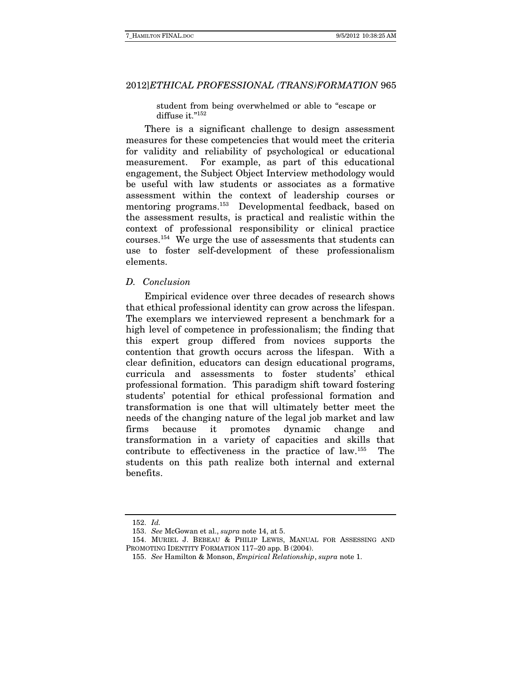student from being overwhelmed or able to "escape or diffuse it."152

There is a significant challenge to design assessment measures for these competencies that would meet the criteria for validity and reliability of psychological or educational measurement. For example, as part of this educational engagement, the Subject Object Interview methodology would be useful with law students or associates as a formative assessment within the context of leadership courses or mentoring programs.<sup>153</sup> Developmental feedback, based on the assessment results, is practical and realistic within the context of professional responsibility or clinical practice courses.154 We urge the use of assessments that students can use to foster self-development of these professionalism elements.

#### D. Conclusion

Empirical evidence over three decades of research shows that ethical professional identity can grow across the lifespan. The exemplars we interviewed represent a benchmark for a high level of competence in professionalism; the finding that this expert group differed from novices supports the contention that growth occurs across the lifespan. With a clear definition, educators can design educational programs, curricula and assessments to foster students' ethical professional formation. This paradigm shift toward fostering students' potential for ethical professional formation and transformation is one that will ultimately better meet the needs of the changing nature of the legal job market and law firms because it promotes dynamic change and transformation in a variety of capacities and skills that contribute to effectiveness in the practice of law.155 The students on this path realize both internal and external benefits.

 <sup>152.</sup> Id.

 <sup>153.</sup> See McGowan et al., supra note 14, at 5.

 <sup>154.</sup> MURIEL J. BEBEAU & PHILIP LEWIS, MANUAL FOR ASSESSING AND PROMOTING IDENTITY FORMATION 117–20 app. B (2004).

 <sup>155.</sup> See Hamilton & Monson, Empirical Relationship, supra note 1.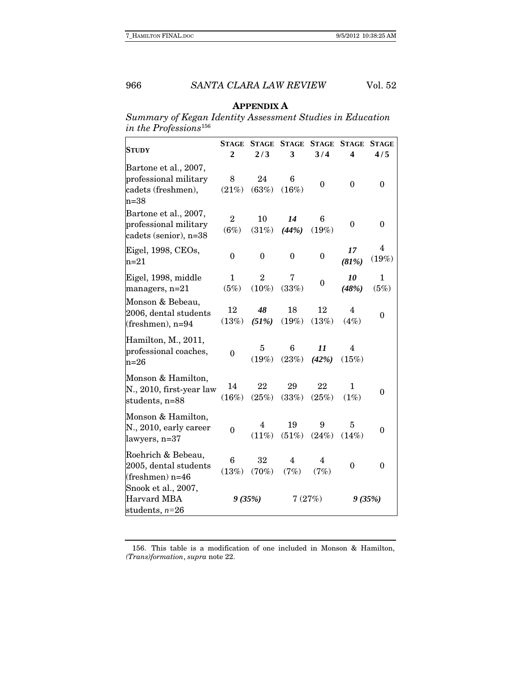# **APPENDIX A**

Summary of Kegan Identity Assessment Studies in Education in the Professions $^{156}\,$ 

| <b>STUDY</b>                                                                   | <b>STAGE</b><br>$\overline{2}$ | <b>STAGE</b><br>2/3        | <b>STAGE</b><br>3 | <b>STAGE</b><br>3/4 | <b>STAGE</b><br>$\boldsymbol{4}$ | <b>STAGE</b><br>4/5 |
|--------------------------------------------------------------------------------|--------------------------------|----------------------------|-------------------|---------------------|----------------------------------|---------------------|
| Bartone et al., 2007,<br>professional military<br>cadets (freshmen),<br>$n=38$ | 8<br>(21%)                     | 24<br>(63%)                | 6<br>(16%)        | $\boldsymbol{0}$    | $\boldsymbol{0}$                 | 0                   |
| Bartone et al., 2007,<br>professional military<br>cadets (senior), n=38        | $\overline{2}$<br>(6%)         | 10<br>(31%)                | 14<br>(44%)       | 6<br>(19%)          | 0                                | $\overline{0}$      |
| Eigel, 1998, CEOs,<br>$n=21$                                                   | $\mathbf{0}$                   | $\mathbf{0}$               | $\theta$          | $\boldsymbol{0}$    | 17<br>(81%)                      | 4<br>(19%)          |
| Eigel, 1998, middle<br>managers, n=21                                          | 1<br>(5%)                      | $\overline{2}$<br>$(10\%)$ | 7<br>(33%)        | $\boldsymbol{0}$    | 10<br>(48%)                      | 1<br>(5%)           |
| Monson & Bebeau,<br>2006, dental students<br>(freshmen), n=94                  | 12<br>(13%)                    | 48<br>(51%)                | 18<br>(19%)       | 12<br>(13%)         | $\overline{4}$<br>(4%)           | 0                   |
| Hamilton, M., 2011,<br>professional coaches,<br>$n=26$                         | $\theta$                       | 5<br>(19%)                 | 6<br>(23%)        | 11<br>(42%)         | 4<br>(15%)                       |                     |
| Monson & Hamilton,<br>N., 2010, first-year law<br>students, n=88               | 14<br>(16%)                    | 22<br>(25%)                | 29<br>(33%)       | 22<br>(25%)         | $\mathbf{1}$<br>(1%)             | $\theta$            |
| Monson & Hamilton,<br>N., 2010, early career<br>lawyers, n=37                  | 0                              | 4<br>$(11\%)$              | 19<br>(51%)       | 9<br>(24%)          | 5<br>(14%)                       | 0                   |
| Roehrich & Bebeau,<br>2005, dental students<br>(freshmen) n=46                 | 6<br>(13%)                     | 32<br>(70%)                | 4<br>(7%)         | 4<br>(7%)           | $\theta$                         | $\theta$            |
| Snook et al., 2007,<br>Harvard MBA<br>students, $n=26$                         | 9(35%)                         |                            | 7(27%)            |                     | 9(35%)                           |                     |

 156. This table is a modification of one included in Monson & Hamilton, (Trans)formation, supra note 22.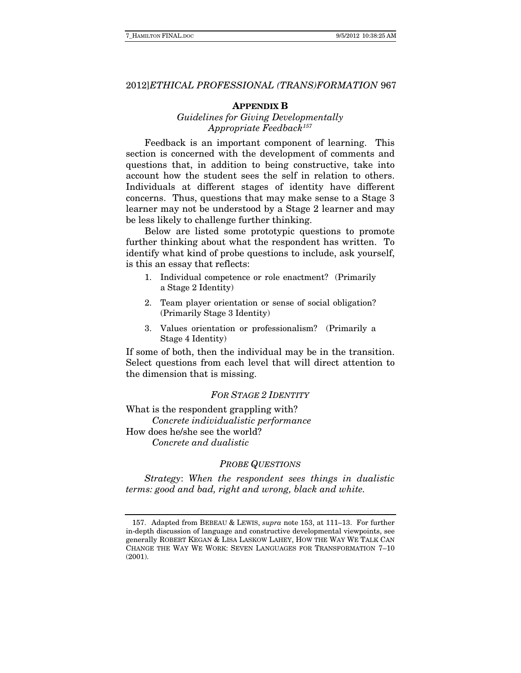#### **APPENDIX B**

# Guidelines for Giving Developmentally Appropriate Feedback<sup>157</sup>

Feedback is an important component of learning. This section is concerned with the development of comments and questions that, in addition to being constructive, take into account how the student sees the self in relation to others. Individuals at different stages of identity have different concerns. Thus, questions that may make sense to a Stage 3 learner may not be understood by a Stage 2 learner and may be less likely to challenge further thinking.

Below are listed some prototypic questions to promote further thinking about what the respondent has written. To identify what kind of probe questions to include, ask yourself, is this an essay that reflects:

- 1. Individual competence or role enactment? (Primarily a Stage 2 Identity)
- 2. Team player orientation or sense of social obligation? (Primarily Stage 3 Identity)
- 3. Values orientation or professionalism? (Primarily a Stage 4 Identity)

If some of both, then the individual may be in the transition. Select questions from each level that will direct attention to the dimension that is missing.

### FOR STAGE 2 IDENTITY

What is the respondent grappling with? Concrete individualistic performance How does he/she see the world? Concrete and dualistic

#### PROBE QUESTIONS

 Strategy: When the respondent sees things in dualistic terms: good and bad, right and wrong, black and white.

 <sup>157.</sup> Adapted from BEBEAU & LEWIS, supra note 153, at 111–13. For further in-depth discussion of language and constructive developmental viewpoints, see generally ROBERT KEGAN & LISA LASKOW LAHEY, HOW THE WAY WE TALK CAN CHANGE THE WAY WE WORK: SEVEN LANGUAGES FOR TRANSFORMATION 7–10 (2001).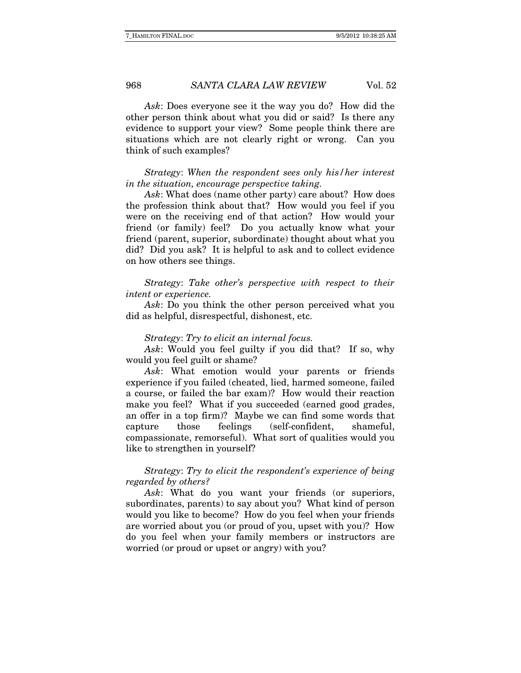Ask: Does everyone see it the way you do? How did the other person think about what you did or said? Is there any evidence to support your view? Some people think there are situations which are not clearly right or wrong. Can you think of such examples?

Strategy: When the respondent sees only his/her interest in the situation, encourage perspective taking.

Ask: What does (name other party) care about? How does the profession think about that? How would you feel if you were on the receiving end of that action? How would your friend (or family) feel? Do you actually know what your friend (parent, superior, subordinate) thought about what you did? Did you ask? It is helpful to ask and to collect evidence on how others see things.

Strategy: Take other's perspective with respect to their intent or experience.

Ask: Do you think the other person perceived what you did as helpful, disrespectful, dishonest, etc.

#### Strategy: Try to elicit an internal focus.

Ask: Would you feel guilty if you did that? If so, why would you feel guilt or shame?

Ask: What emotion would your parents or friends experience if you failed (cheated, lied, harmed someone, failed a course, or failed the bar exam)? How would their reaction make you feel? What if you succeeded (earned good grades, an offer in a top firm)? Maybe we can find some words that capture those feelings (self-confident, shameful, compassionate, remorseful). What sort of qualities would you like to strengthen in yourself?

# Strategy: Try to elicit the respondent's experience of being regarded by others?

Ask: What do you want your friends (or superiors, subordinates, parents) to say about you? What kind of person would you like to become? How do you feel when your friends are worried about you (or proud of you, upset with you)? How do you feel when your family members or instructors are worried (or proud or upset or angry) with you?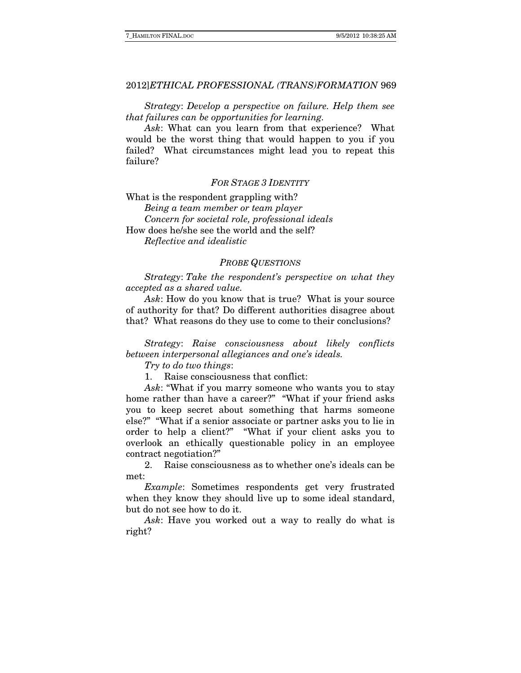Strategy: Develop a perspective on failure. Help them see that failures can be opportunities for learning.

Ask: What can you learn from that experience? What would be the worst thing that would happen to you if you failed? What circumstances might lead you to repeat this failure?

#### FOR STAGE 3 IDENTITY

What is the respondent grappling with? Being a team member or team player Concern for societal role, professional ideals How does he/she see the world and the self? Reflective and idealistic

#### PROBE QUESTIONS

Strategy: Take the respondent's perspective on what they accepted as a shared value.

Ask: How do you know that is true? What is your source of authority for that? Do different authorities disagree about that? What reasons do they use to come to their conclusions?

Strategy: Raise consciousness about likely conflicts between interpersonal allegiances and one's ideals.

Try to do two things:

1. Raise consciousness that conflict:

Ask: "What if you marry someone who wants you to stay home rather than have a career?" "What if your friend asks you to keep secret about something that harms someone else?" "What if a senior associate or partner asks you to lie in order to help a client?" "What if your client asks you to overlook an ethically questionable policy in an employee contract negotiation?"

2. Raise consciousness as to whether one's ideals can be met:

Example: Sometimes respondents get very frustrated when they know they should live up to some ideal standard, but do not see how to do it.

Ask: Have you worked out a way to really do what is right?